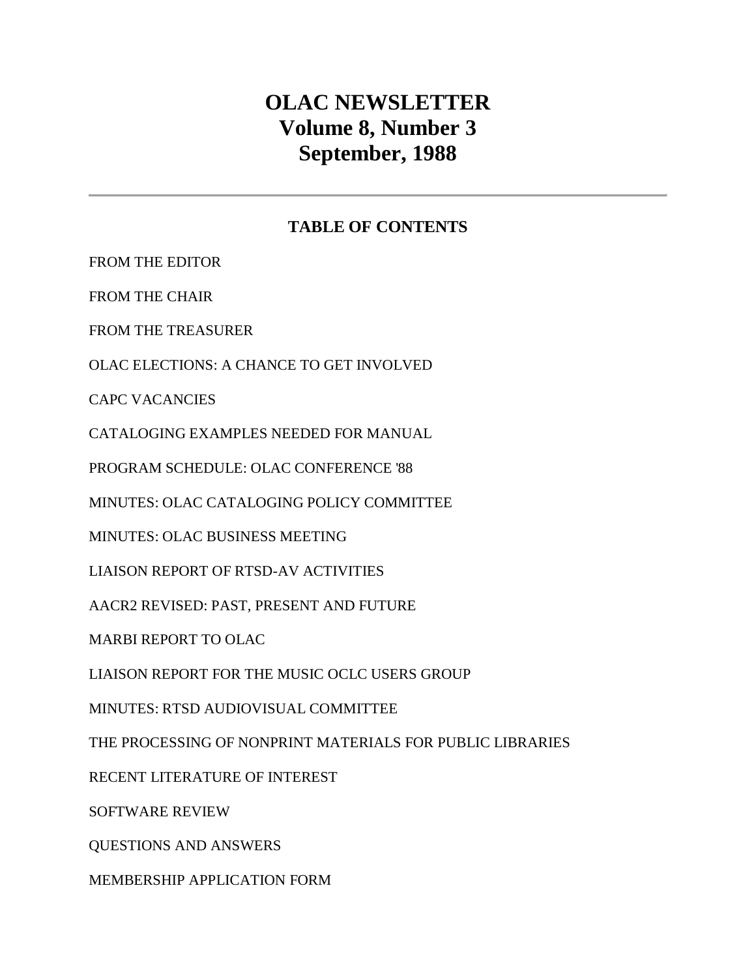# **OLAC NEWSLETTER Volume 8, Number 3 September, 1988**

### **TABLE OF CONTENTS**

[FROM THE EDITOR](http://ublib.buffalo.edu/libraries/units/cts/olac/newsletters/sept88.html#editor)

[FROM THE CHAIR](http://ublib.buffalo.edu/libraries/units/cts/olac/newsletters/sept88.html#chair)

[FROM THE TREASURER](http://ublib.buffalo.edu/libraries/units/cts/olac/newsletters/sept88.html#treasurer)

[OLAC ELECTIONS: A CHANCE TO GET INVOLVED](http://ublib.buffalo.edu/libraries/units/cts/olac/newsletters/sept88.html#elections)

[CAPC VACANCIES](http://ublib.buffalo.edu/libraries/units/cts/olac/newsletters/sept88.html#vacancies)

[CATALOGING EXAMPLES NEEDED FOR MANUAL](http://ublib.buffalo.edu/libraries/units/cts/olac/newsletters/sept88.html#manual)

[PROGRAM SCHEDULE: OLAC CONFERENCE '88](http://ublib.buffalo.edu/libraries/units/cts/olac/newsletters/sept88.html#schedule)

[MINUTES: OLAC CATALOGING POLICY COMMITTEE](http://ublib.buffalo.edu/libraries/units/cts/olac/newsletters/sept88.html#capc)

[MINUTES: OLAC BUSINESS MEETING](http://ublib.buffalo.edu/libraries/units/cts/olac/newsletters/sept88.html#business)

[LIAISON REPORT OF RTSD-AV ACTIVITIES](http://ublib.buffalo.edu/libraries/units/cts/olac/newsletters/sept88.html#rtsd_av)

[AACR2 REVISED: PAST, PRESENT AND FUTURE](http://ublib.buffalo.edu/libraries/units/cts/olac/newsletters/sept88.html#ala)

[MARBI REPORT TO OLAC](http://ublib.buffalo.edu/libraries/units/cts/olac/newsletters/sept88.html#marbi)

[LIAISON REPORT FOR THE MUSIC OCLC USERS GROUP](http://ublib.buffalo.edu/libraries/units/cts/olac/newsletters/sept88.html#moug)

[MINUTES: RTSD AUDIOVISUAL COMMITTEE](http://ublib.buffalo.edu/libraries/units/cts/olac/newsletters/sept88.html#rtsd_no)

[THE PROCESSING OF NONPRINT MATERIALS FOR PUBLIC LIBRARIES](http://ublib.buffalo.edu/libraries/units/cts/olac/newsletters/sept88.html#nonprint)

[RECENT LITERATURE OF INTEREST](http://ublib.buffalo.edu/libraries/units/cts/olac/newsletters/sept88.html#literature)

[SOFTWARE REVIEW](http://ublib.buffalo.edu/libraries/units/cts/olac/newsletters/sept88.html#software)

[QUESTIONS AND ANSWERS](http://ublib.buffalo.edu/libraries/units/cts/olac/newsletters/sept88.html#q&a)

[MEMBERSHIP APPLICATION FORM](http://ublib.buffalo.edu/libraries/units/cts/olac/newsletters/sept88.html#form)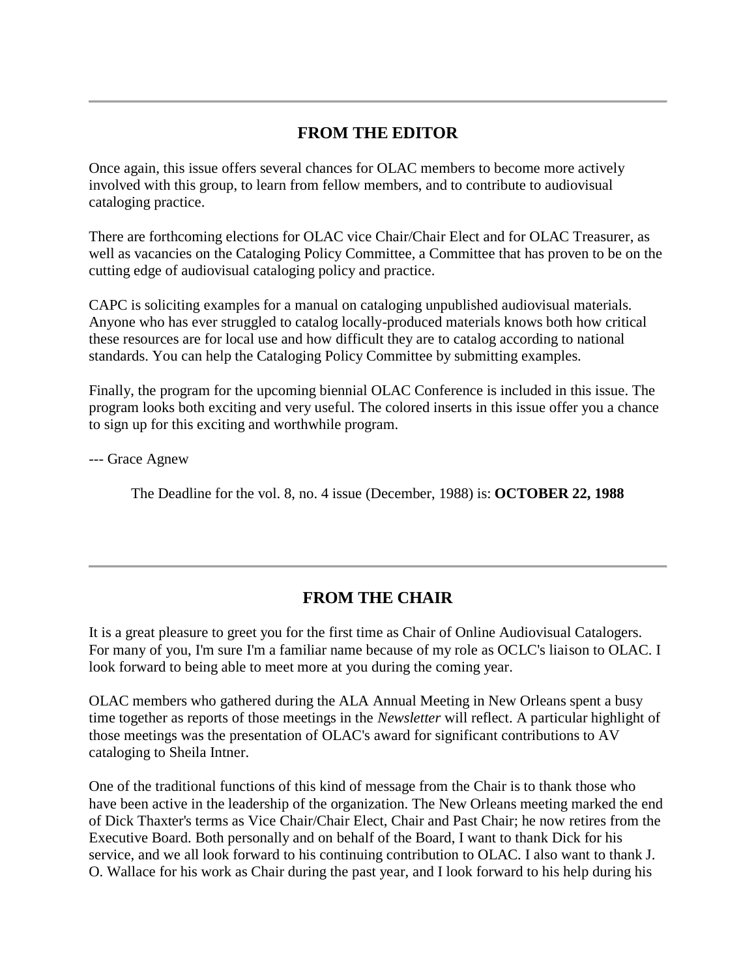### **FROM THE EDITOR**

Once again, this issue offers several chances for OLAC members to become more actively involved with this group, to learn from fellow members, and to contribute to audiovisual cataloging practice.

There are forthcoming [elections](http://ublib.buffalo.edu/libraries/units/cts/olac/newsletters/sept88.html#elections) for OLAC vice Chair/Chair Elect and for OLAC Treasurer, as well as [vacancies](http://ublib.buffalo.edu/libraries/units/cts/olac/newsletters/sept88.html#vacancies) on the Cataloging Policy Committee, a Committee that has proven to be on the cutting edge of audiovisual cataloging policy and practice.

CAPC is soliciting [examples for a manual](http://ublib.buffalo.edu/libraries/units/cts/olac/newsletters/sept88.html#manual) on cataloging unpublished audiovisual materials. Anyone who has ever struggled to catalog locally-produced materials knows both how critical these resources are for local use and how difficult they are to catalog according to national standards. You can help the Cataloging Policy Committee by submitting examples.

Finally, the [program](http://ublib.buffalo.edu/libraries/units/cts/olac/newsletters/sept88.html#schedule) for the upcoming biennial OLAC Conference is included in this issue. The program looks both exciting and very useful. The colored inserts in this issue offer you a chance to sign up for this exciting and worthwhile program.

--- Grace Agnew

The Deadline for the [vol. 8, no. 4 issue](http://ublib.buffalo.edu/libraries/units/cts/olac/newsletters/dec88.html) (December, 1988) is: **OCTOBER 22, 1988**

### **FROM THE CHAIR**

It is a great pleasure to greet you for the first time as Chair of Online Audiovisual Catalogers. For many of you, I'm sure I'm a familiar name because of my role as OCLC's liaison to OLAC. I look forward to being able to meet more at you during the coming year.

OLAC members who gathered during the ALA Annual Meeting in New Orleans spent a busy time together as reports of those meetings in the *Newsletter* will reflect. A particular highlight of those meetings was the presentation of [OLAC's award](http://ublib.buffalo.edu/libraries/units/cts/olac/newsletters/sept88.html#award) for significant contributions to AV cataloging to Sheila Intner.

One of the traditional functions of this kind of message from the Chair is to thank those who have been active in the leadership of the organization. The New Orleans meeting marked the end of Dick Thaxter's terms as Vice Chair/Chair Elect, Chair and Past Chair; he now retires from the Executive Board. Both personally and on behalf of the Board, I want to thank Dick for his service, and we all look forward to his continuing contribution to OLAC. I also want to thank J. O. Wallace for his work as Chair during the past year, and I look forward to his help during his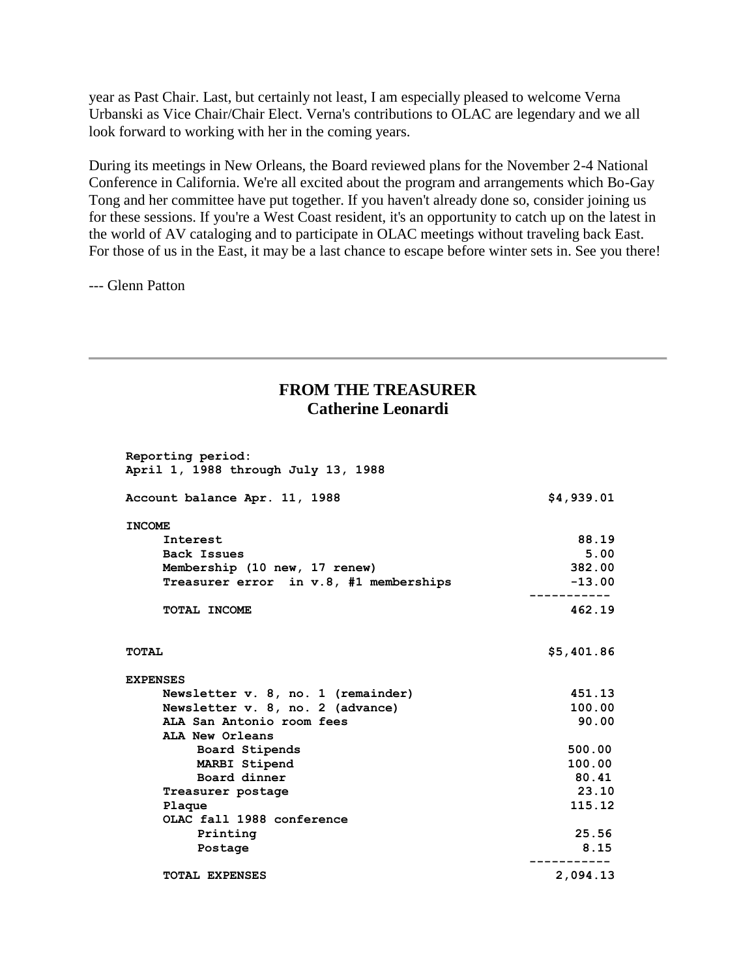year as Past Chair. Last, but certainly not least, I am especially pleased to welcome Verna Urbanski as Vice Chair/Chair Elect. Verna's contributions to OLAC are legendary and we all look forward to working with her in the coming years.

During its meetings in New Orleans, the Board reviewed plans for the November 2-4 National Conference in California. We're all excited about the program and arrangements which Bo-Gay Tong and her committee have put together. If you haven't already done so, consider joining us for these sessions. If you're a West Coast resident, it's an opportunity to catch up on the latest in the world of AV cataloging and to participate in OLAC meetings without traveling back East. For those of us in the East, it may be a last chance to escape before winter sets in. See you there!

--- Glenn Patton

### **FROM THE TREASURER Catherine Leonardi**

| Reporting period:<br>April 1, 1988 through July 13, 1988 |            |
|----------------------------------------------------------|------------|
| Account balance Apr. 11, 1988                            | \$4,939.01 |
| <b>INCOME</b>                                            |            |
| Interest                                                 | 88.19      |
| Back Issues                                              | 5.00       |
| Membership (10 new, 17 renew)                            | 382.00     |
| Treasurer error in v.8, #1 memberships                   | $-13.00$   |
| TOTAL INCOME                                             | 462.19     |
| <b>TOTAL</b>                                             | \$5,401.86 |
| <b>EXPENSES</b>                                          |            |
| Newsletter v. 8, no. 1 (remainder)                       | 451.13     |
| Newsletter v. 8, no. 2 (advance)                         | 100.00     |
| ALA San Antonio room fees                                | 90.00      |
| ALA New Orleans                                          |            |
| Board Stipends                                           | 500.00     |
| MARBI Stipend                                            | 100.00     |
| Board dinner                                             | 80.41      |
| Treasurer postage                                        | 23.10      |
| Plaque                                                   | 115.12     |
| OLAC fall 1988 conference                                |            |
| Printing                                                 | 25.56      |
|                                                          | 8.15       |
| Postage                                                  |            |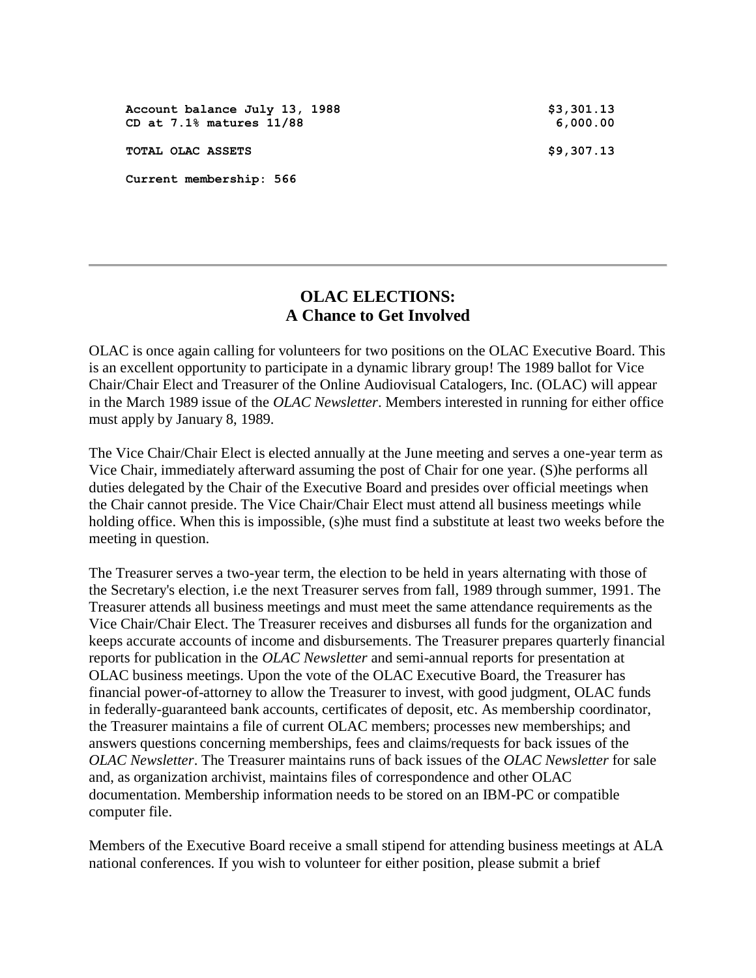| Account balance July 13, 1988<br>CD at 7.1% matures 11/88 | \$3,301.13<br>6,000.00 |
|-----------------------------------------------------------|------------------------|
| TOTAL OLAC ASSETS                                         | \$9,307.13             |
| Current membership: 566                                   |                        |

### **OLAC ELECTIONS: A Chance to Get Involved**

OLAC is once again calling for volunteers for two positions on the OLAC Executive Board. This is an excellent opportunity to participate in a dynamic library group! The 1989 ballot for Vice Chair/Chair Elect and Treasurer of the Online Audiovisual Catalogers, Inc. (OLAC) will appear in the [March 1989 issue](http://ublib.buffalo.edu/libraries/units/cts/olac/newsletters/mar89.html) of the *OLAC Newsletter*. Members interested in running for either office must apply by January 8, 1989.

The Vice Chair/Chair Elect is elected annually at the June meeting and serves a one-year term as Vice Chair, immediately afterward assuming the post of Chair for one year. (S)he performs all duties delegated by the Chair of the Executive Board and presides over official meetings when the Chair cannot preside. The Vice Chair/Chair Elect must attend all business meetings while holding office. When this is impossible, (s)he must find a substitute at least two weeks before the meeting in question.

The Treasurer serves a two-year term, the election to be held in years alternating with those of the Secretary's election, i.e the next Treasurer serves from fall, 1989 through summer, 1991. The Treasurer attends all business meetings and must meet the same attendance requirements as the Vice Chair/Chair Elect. The Treasurer receives and disburses all funds for the organization and keeps accurate accounts of income and disbursements. The Treasurer prepares quarterly financial reports for publication in the *OLAC Newsletter* and semi-annual reports for presentation at OLAC business meetings. Upon the vote of the OLAC Executive Board, the Treasurer has financial power-of-attorney to allow the Treasurer to invest, with good judgment, OLAC funds in federally-guaranteed bank accounts, certificates of deposit, etc. As membership coordinator, the Treasurer maintains a file of current OLAC members; processes new memberships; and answers questions concerning memberships, fees and claims/requests for back issues of the *OLAC Newsletter*. The Treasurer maintains runs of back issues of the *OLAC Newsletter* for sale and, as organization archivist, maintains files of correspondence and other OLAC documentation. Membership information needs to be stored on an IBM-PC or compatible computer file.

Members of the Executive Board receive a small stipend for attending business meetings at ALA national conferences. If you wish to volunteer for either position, please submit a brief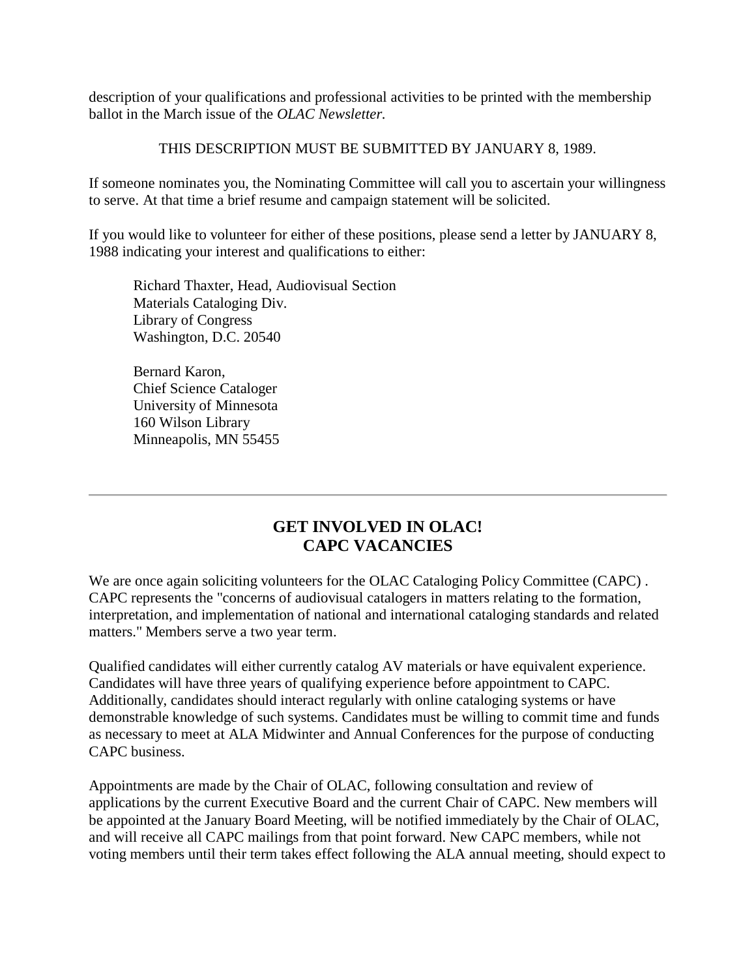description of your qualifications and professional activities to be printed with the membership ballot in the March issue of the *OLAC Newsletter.*

### THIS DESCRIPTION MUST BE SUBMITTED BY JANUARY 8, 1989.

If someone nominates you, the Nominating Committee will call you to ascertain your willingness to serve. At that time a brief resume and campaign statement will be solicited.

If you would like to volunteer for either of these positions, please send a letter by JANUARY 8, 1988 indicating your interest and qualifications to either:

Richard Thaxter, Head, Audiovisual Section Materials Cataloging Div. Library of Congress Washington, D.C. 20540

Bernard Karon, Chief Science Cataloger University of Minnesota 160 Wilson Library Minneapolis, MN 55455

### **GET INVOLVED IN OLAC! CAPC VACANCIES**

We are once again soliciting volunteers for the OLAC Cataloging Policy Committee (CAPC). CAPC represents the "concerns of audiovisual catalogers in matters relating to the formation, interpretation, and implementation of national and international cataloging standards and related matters." Members serve a two year term.

Qualified candidates will either currently catalog AV materials or have equivalent experience. Candidates will have three years of qualifying experience before appointment to CAPC. Additionally, candidates should interact regularly with online cataloging systems or have demonstrable knowledge of such systems. Candidates must be willing to commit time and funds as necessary to meet at ALA Midwinter and Annual Conferences for the purpose of conducting CAPC business.

Appointments are made by the Chair of OLAC, following consultation and review of applications by the current Executive Board and the current Chair of CAPC. New members will be appointed at the January Board Meeting, will be notified immediately by the Chair of OLAC, and will receive all CAPC mailings from that point forward. New CAPC members, while not voting members until their term takes effect following the ALA annual meeting, should expect to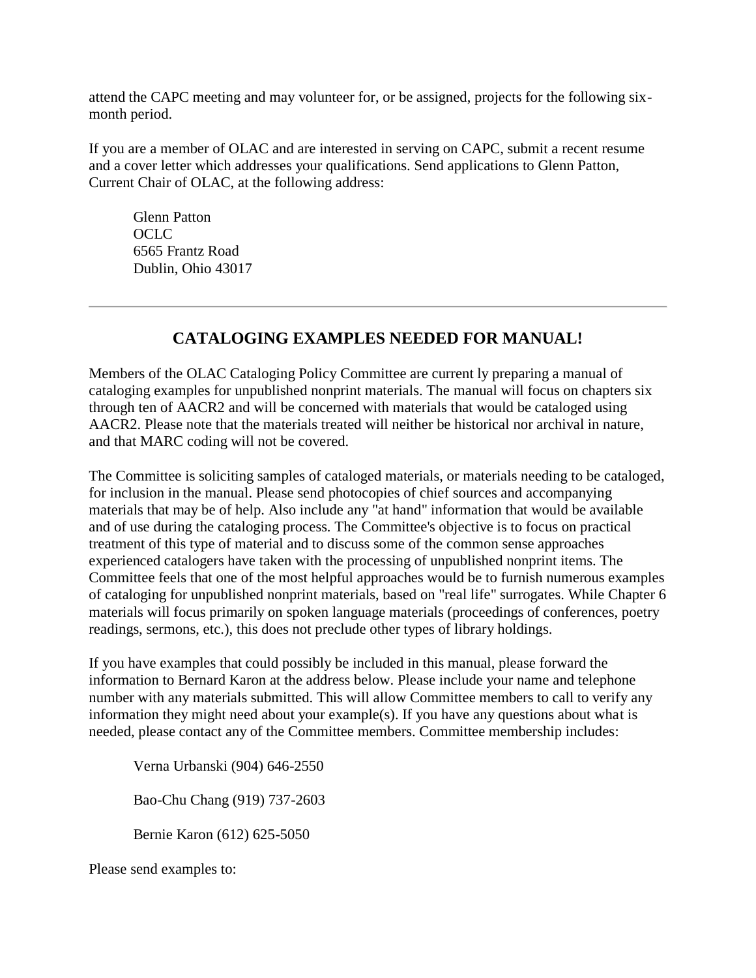attend the CAPC meeting and may volunteer for, or be assigned, projects for the following sixmonth period.

If you are a member of OLAC and are interested in serving on CAPC, submit a recent resume and a cover letter which addresses your qualifications. Send applications to Glenn Patton, Current Chair of OLAC, at the following address:

Glenn Patton OCLC 6565 Frantz Road Dublin, Ohio 43017

## **CATALOGING EXAMPLES NEEDED FOR MANUAL!**

Members of the OLAC Cataloging Policy Committee are current ly preparing a manual of cataloging examples for unpublished nonprint materials. The manual will focus on chapters six through ten of AACR2 and will be concerned with materials that would be cataloged using AACR2. Please note that the materials treated will neither be historical nor archival in nature, and that MARC coding will not be covered.

The Committee is soliciting samples of cataloged materials, or materials needing to be cataloged, for inclusion in the manual. Please send photocopies of chief sources and accompanying materials that may be of help. Also include any "at hand" information that would be available and of use during the cataloging process. The Committee's objective is to focus on practical treatment of this type of material and to discuss some of the common sense approaches experienced catalogers have taken with the processing of unpublished nonprint items. The Committee feels that one of the most helpful approaches would be to furnish numerous examples of cataloging for unpublished nonprint materials, based on "real life" surrogates. While Chapter 6 materials will focus primarily on spoken language materials (proceedings of conferences, poetry readings, sermons, etc.), this does not preclude other types of library holdings.

If you have examples that could possibly be included in this manual, please forward the information to Bernard Karon at the address below. Please include your name and telephone number with any materials submitted. This will allow Committee members to call to verify any information they might need about your example(s). If you have any questions about what is needed, please contact any of the Committee members. Committee membership includes:

Verna Urbanski (904) 646-2550

Bao-Chu Chang (919) 737-2603

Bernie Karon (612) 625-5050

Please send examples to: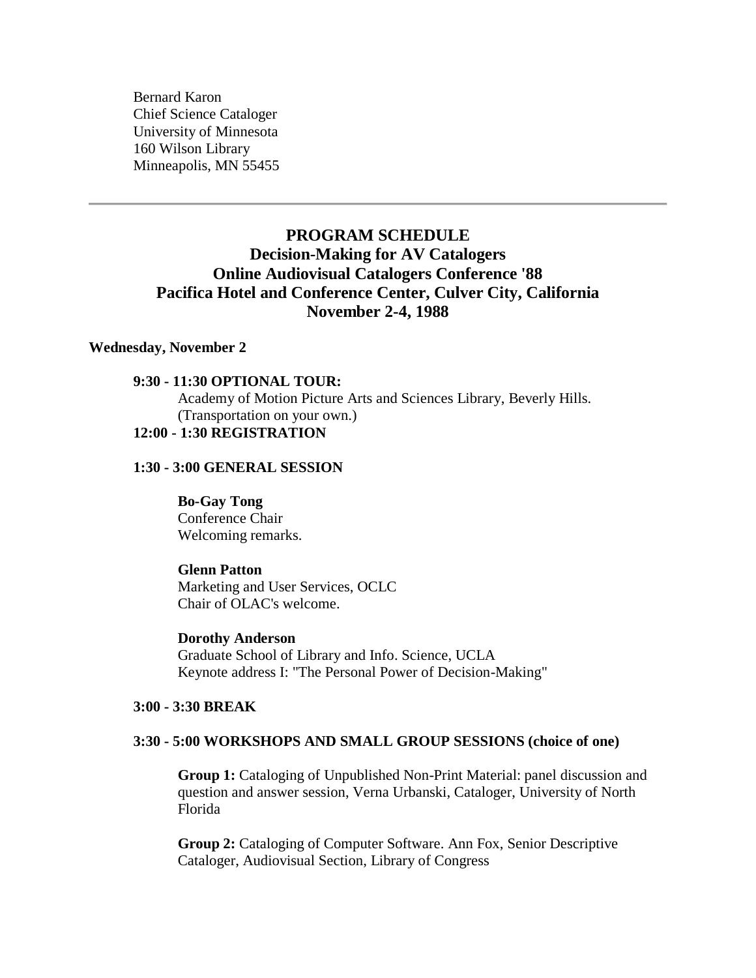Bernard Karon Chief Science Cataloger University of Minnesota 160 Wilson Library Minneapolis, MN 55455

### **PROGRAM SCHEDULE Decision-Making for AV Catalogers Online Audiovisual Catalogers Conference '88 Pacifica Hotel and Conference Center, Culver City, California November 2-4, 1988**

#### **Wednesday, November 2**

#### **9:30 - 11:30 OPTIONAL TOUR:**

Academy of Motion Picture Arts and Sciences Library, Beverly Hills. (Transportation on your own.) **12:00 - 1:30 REGISTRATION**

#### **1:30 - 3:00 GENERAL SESSION**

**Bo-Gay Tong** Conference Chair Welcoming remarks.

#### **Glenn Patton**

Marketing and User Services, OCLC Chair of OLAC's welcome.

**Dorothy Anderson** Graduate School of Library and Info. Science, UCLA Keynote address I: "The Personal Power of Decision-Making"

#### **3:00 - 3:30 BREAK**

#### **3:30 - 5:00 WORKSHOPS AND SMALL GROUP SESSIONS (choice of one)**

**Group 1:** Cataloging of Unpublished Non-Print Material: panel discussion and question and answer session, Verna Urbanski, Cataloger, University of North Florida

**Group 2:** Cataloging of Computer Software. Ann Fox, Senior Descriptive Cataloger, Audiovisual Section, Library of Congress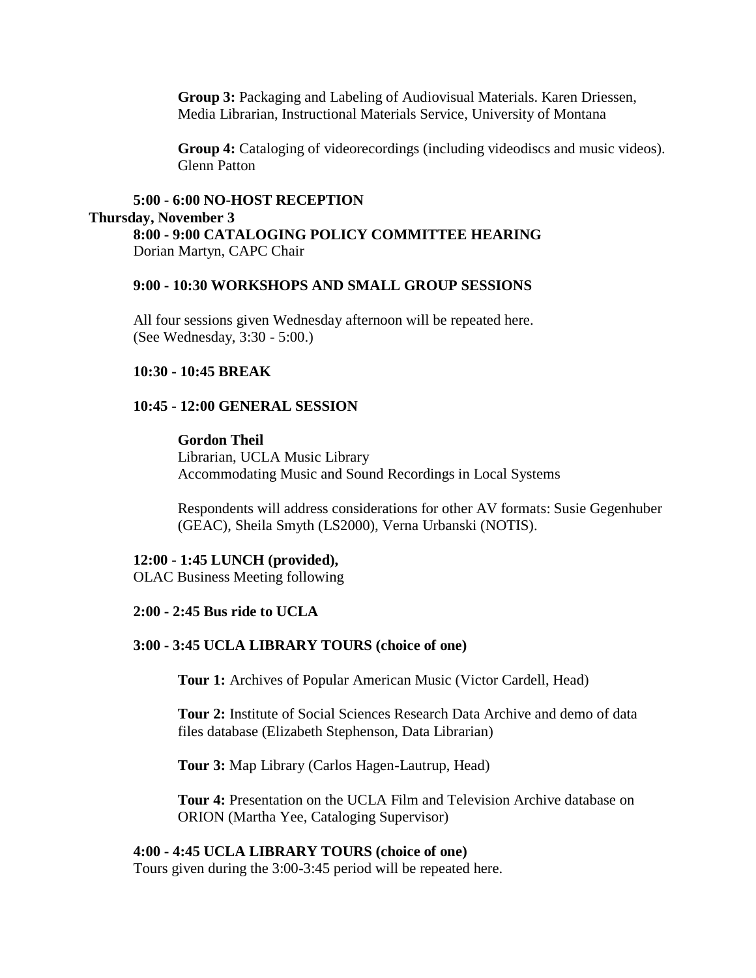**Group 3:** Packaging and Labeling of Audiovisual Materials. Karen Driessen, Media Librarian, Instructional Materials Service, University of Montana

**Group 4:** Cataloging of videorecordings (including videodiscs and music videos). Glenn Patton

#### **5:00 - 6:00 NO-HOST RECEPTION Thursday, November 3 8:00 - 9:00 CATALOGING POLICY COMMITTEE HEARING** Dorian Martyn, CAPC Chair

#### **9:00 - 10:30 WORKSHOPS AND SMALL GROUP SESSIONS**

All four sessions given Wednesday afternoon will be repeated here. (See Wednesday, 3:30 - 5:00.)

#### **10:30 - 10:45 BREAK**

#### **10:45 - 12:00 GENERAL SESSION**

#### **Gordon Theil**

Librarian, UCLA Music Library Accommodating Music and Sound Recordings in Local Systems

Respondents will address considerations for other AV formats: Susie Gegenhuber (GEAC), Sheila Smyth (LS2000), Verna Urbanski (NOTIS).

#### **12:00 - 1:45 LUNCH (provided),**

OLAC Business Meeting following

#### **2:00 - 2:45 Bus ride to UCLA**

#### **3:00 - 3:45 UCLA LIBRARY TOURS (choice of one)**

**Tour 1:** Archives of Popular American Music (Victor Cardell, Head)

**Tour 2:** Institute of Social Sciences Research Data Archive and demo of data files database (Elizabeth Stephenson, Data Librarian)

**Tour 3:** Map Library (Carlos Hagen-Lautrup, Head)

**Tour 4:** Presentation on the UCLA Film and Television Archive database on ORION (Martha Yee, Cataloging Supervisor)

#### **4:00 - 4:45 UCLA LIBRARY TOURS (choice of one)**

Tours given during the 3:00-3:45 period will be repeated here.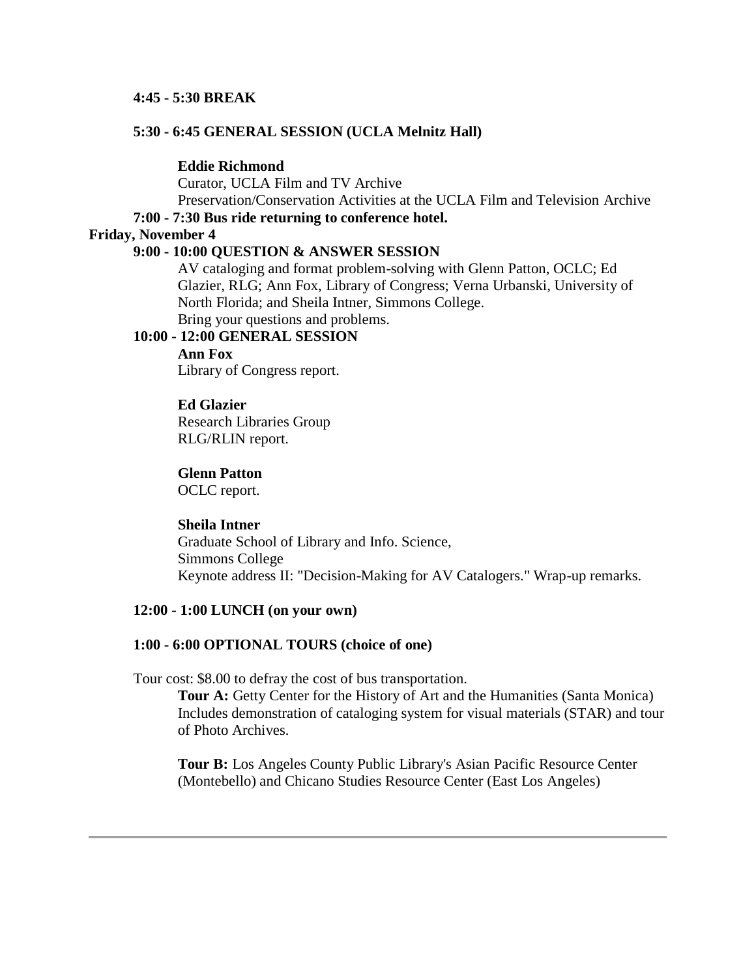#### **4:45 - 5:30 BREAK**

#### **5:30 - 6:45 GENERAL SESSION (UCLA Melnitz Hall)**

#### **Eddie Richmond**

Curator, UCLA Film and TV Archive Preservation/Conservation Activities at the UCLA Film and Television Archive

#### **7:00 - 7:30 Bus ride returning to conference hotel.**

#### **Friday, November 4**

#### **9:00 - 10:00 QUESTION & ANSWER SESSION**

AV cataloging and format problem-solving with Glenn Patton, OCLC; Ed Glazier, RLG; Ann Fox, Library of Congress; Verna Urbanski, University of North Florida; and Sheila Intner, Simmons College. Bring your questions and problems.

#### **10:00 - 12:00 GENERAL SESSION**

**Ann Fox**

Library of Congress report.

#### **Ed Glazier**

Research Libraries Group RLG/RLIN report.

#### **Glenn Patton**

OCLC report.

#### **Sheila Intner**

Graduate School of Library and Info. Science, Simmons College Keynote address II: "Decision-Making for AV Catalogers." Wrap-up remarks.

#### **12:00 - 1:00 LUNCH (on your own)**

#### **1:00 - 6:00 OPTIONAL TOURS (choice of one)**

Tour cost: \$8.00 to defray the cost of bus transportation.

**Tour A:** Getty Center for the History of Art and the Humanities (Santa Monica) Includes demonstration of cataloging system for visual materials (STAR) and tour of Photo Archives.

**Tour B:** Los Angeles County Public Library's Asian Pacific Resource Center (Montebello) and Chicano Studies Resource Center (East Los Angeles)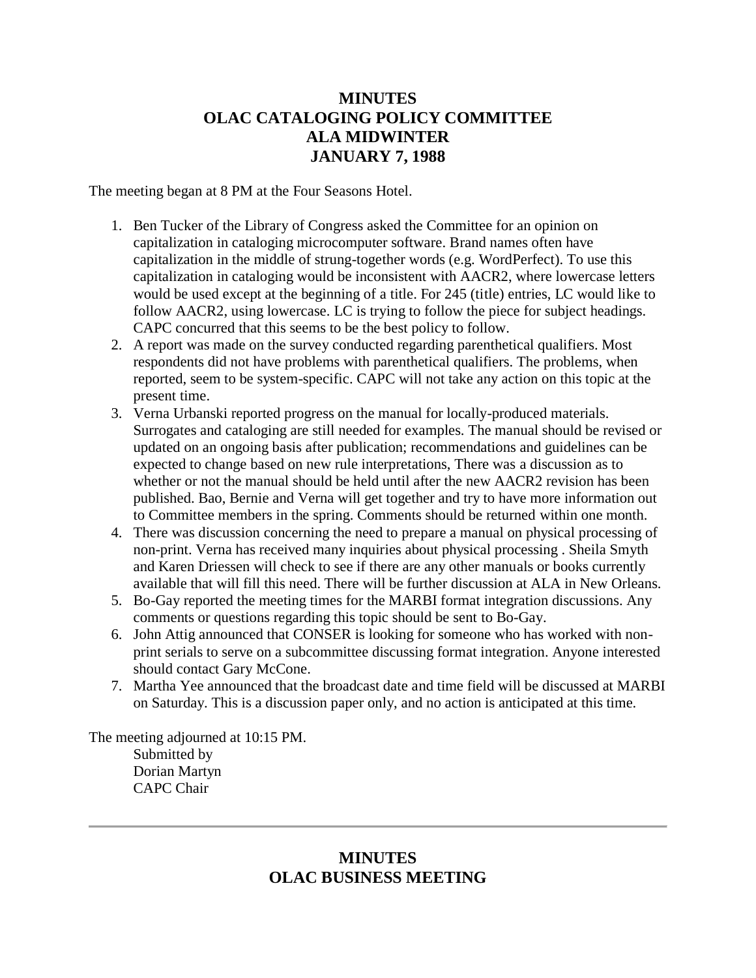### **MINUTES OLAC CATALOGING POLICY COMMITTEE ALA MIDWINTER JANUARY 7, 1988**

The meeting began at 8 PM at the Four Seasons Hotel.

- 1. Ben Tucker of the Library of Congress asked the Committee for an opinion on capitalization in cataloging microcomputer software. Brand names often have capitalization in the middle of strung-together words (e.g. WordPerfect). To use this capitalization in cataloging would be inconsistent with AACR2, where lowercase letters would be used except at the beginning of a title. For 245 (title) entries, LC would like to follow AACR2, using lowercase. LC is trying to follow the piece for subject headings. CAPC concurred that this seems to be the best policy to follow.
- 2. A report was made on the survey conducted regarding parenthetical qualifiers. Most respondents did not have problems with parenthetical qualifiers. The problems, when reported, seem to be system-specific. CAPC will not take any action on this topic at the present time.
- 3. Verna Urbanski reported progress on the manual for locally-produced materials. Surrogates and cataloging are still needed for examples. The manual should be revised or updated on an ongoing basis after publication; recommendations and guidelines can be expected to change based on new rule interpretations, There was a discussion as to whether or not the manual should be held until after the new AACR2 revision has been published. Bao, Bernie and Verna will get together and try to have more information out to Committee members in the spring. Comments should be returned within one month.
- 4. There was discussion concerning the need to prepare a manual on physical processing of non-print. Verna has received many inquiries about physical processing . Sheila Smyth and Karen Driessen will check to see if there are any other manuals or books currently available that will fill this need. There will be further discussion at ALA in New Orleans.
- 5. Bo-Gay reported the meeting times for the MARBI format integration discussions. Any comments or questions regarding this topic should be sent to Bo-Gay.
- 6. John Attig announced that CONSER is looking for someone who has worked with nonprint serials to serve on a subcommittee discussing format integration. Anyone interested should contact Gary McCone.
- 7. Martha Yee announced that the broadcast date and time field will be discussed at MARBI on Saturday. This is a discussion paper only, and no action is anticipated at this time.

The meeting adjourned at 10:15 PM. Submitted by Dorian Martyn CAPC Chair

### **MINUTES OLAC BUSINESS MEETING**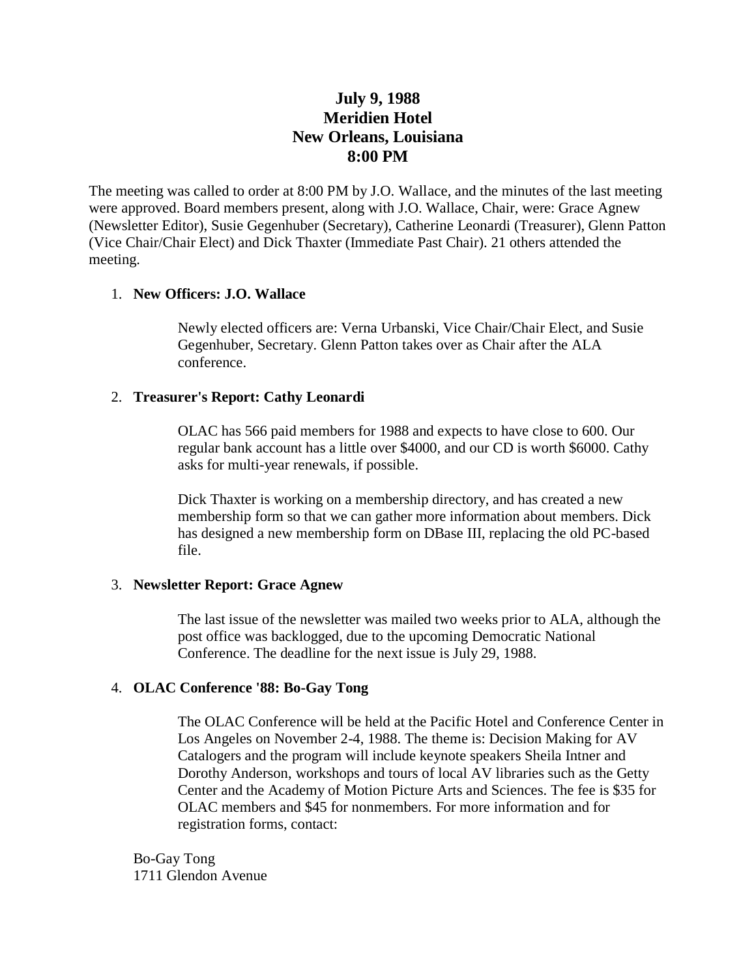### **July 9, 1988 Meridien Hotel New Orleans, Louisiana 8:00 PM**

The meeting was called to order at 8:00 PM by J.O. Wallace, and the [minutes](http://ublib.buffalo.edu/libraries/units/cts/olac/newsletters/mar88.html#business) of the last meeting were approved. Board members present, along with J.O. Wallace, Chair, were: Grace Agnew (Newsletter Editor), Susie Gegenhuber (Secretary), Catherine Leonardi (Treasurer), Glenn Patton (Vice Chair/Chair Elect) and Dick Thaxter (Immediate Past Chair). 21 others attended the meeting.

#### 1. **New Officers: J.O. Wallace**

Newly elected officers are: Verna Urbanski, Vice Chair/Chair Elect, and Susie Gegenhuber, Secretary. Glenn Patton takes over as Chair after the ALA conference.

#### 2. **Treasurer's Report: Cathy Leonardi**

OLAC has 566 paid members for 1988 and expects to have close to 600. Our regular bank account has a little over \$4000, and our CD is worth \$6000. Cathy asks for multi-year renewals, if possible.

Dick Thaxter is working on a membership directory, and has created a new membership form so that we can gather more information about members. Dick has designed a new membership form on DBase III, replacing the old PC-based file.

#### 3. **Newsletter Report: Grace Agnew**

The last issue of the newsletter was mailed two weeks prior to ALA, although the post office was backlogged, due to the upcoming Democratic National Conference. The deadline for the [next issue](http://ublib.buffalo.edu/libraries/units/cts/olac/newsletters/dec88.html) is July 29, 1988.

### 4. **OLAC Conference '88: Bo-Gay Tong**

The OLAC Conference will be held at the Pacific Hotel and Conference Center in Los Angeles on November 2-4, 1988. The theme is: Decision Making for AV Catalogers and the program will include keynote speakers Sheila Intner and Dorothy Anderson, workshops and tours of local AV libraries such as the Getty Center and the Academy of Motion Picture Arts and Sciences. The fee is \$35 for OLAC members and \$45 for nonmembers. For more information and for registration forms, contact:

Bo-Gay Tong 1711 Glendon Avenue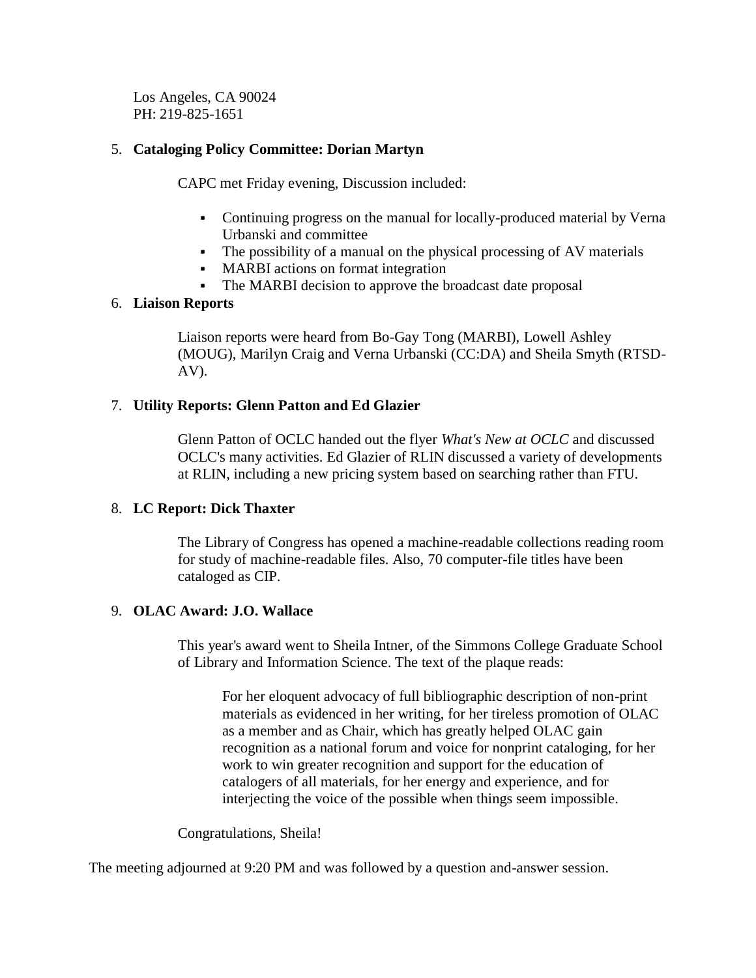Los Angeles, CA 90024 PH: 219-825-1651

#### 5. **Cataloging Policy Committee: Dorian Martyn**

CAPC met Friday evening, Discussion included:

- Continuing progress on the manual for locally-produced material by Verna Urbanski and committee
- The possibility of a manual on the physical processing of AV materials
- MARBI actions on format integration
- The MARBI decision to approve the broadcast date proposal

#### 6. **Liaison Reports**

Liaison reports were heard from Bo-Gay Tong (MARBI), Lowell Ashley (MOUG), Marilyn Craig and Verna Urbanski (CC:DA) and Sheila Smyth (RTSD-AV).

#### 7. **Utility Reports: Glenn Patton and Ed Glazier**

Glenn Patton of OCLC handed out the flyer *What's New at OCLC* and discussed OCLC's many activities. Ed Glazier of RLIN discussed a variety of developments at RLIN, including a new pricing system based on searching rather than FTU.

#### 8. **LC Report: Dick Thaxter**

The Library of Congress has opened a machine-readable collections reading room for study of machine-readable files. Also, 70 computer-file titles have been cataloged as CIP.

#### 9. **OLAC Award: J.O. Wallace**

This year's award went to Sheila Intner, of the Simmons College Graduate School of Library and Information Science. The text of the plaque reads:

For her eloquent advocacy of full bibliographic description of non-print materials as evidenced in her writing, for her tireless promotion of OLAC as a member and as Chair, which has greatly helped OLAC gain recognition as a national forum and voice for nonprint cataloging, for her work to win greater recognition and support for the education of catalogers of all materials, for her energy and experience, and for interjecting the voice of the possible when things seem impossible.

Congratulations, Sheila!

The meeting adjourned at 9:20 PM and was followed by a question and-answer session.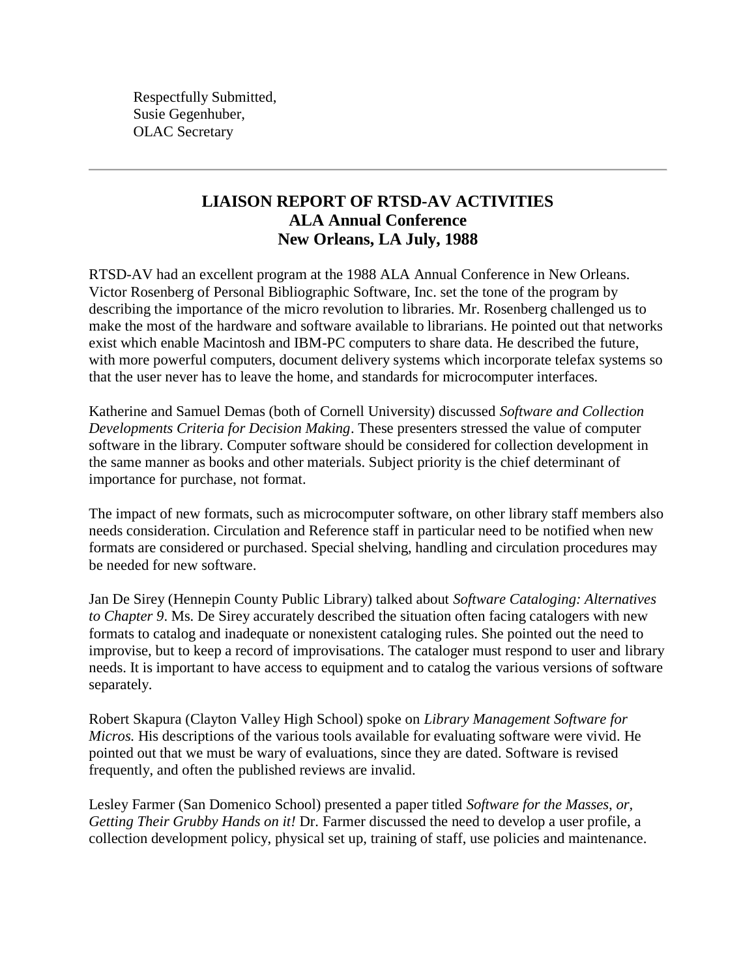Respectfully Submitted, Susie Gegenhuber, OLAC Secretary

### **LIAISON REPORT OF RTSD-AV ACTIVITIES ALA Annual Conference New Orleans, LA July, 1988**

RTSD-AV had an excellent program at the 1988 ALA Annual Conference in New Orleans. Victor Rosenberg of Personal Bibliographic Software, Inc. set the tone of the program by describing the importance of the micro revolution to libraries. Mr. Rosenberg challenged us to make the most of the hardware and software available to librarians. He pointed out that networks exist which enable Macintosh and IBM-PC computers to share data. He described the future, with more powerful computers, document delivery systems which incorporate telefax systems so that the user never has to leave the home, and standards for microcomputer interfaces.

Katherine and Samuel Demas (both of Cornell University) discussed *Software and Collection Developments Criteria for Decision Making*. These presenters stressed the value of computer software in the library. Computer software should be considered for collection development in the same manner as books and other materials. Subject priority is the chief determinant of importance for purchase, not format.

The impact of new formats, such as microcomputer software, on other library staff members also needs consideration. Circulation and Reference staff in particular need to be notified when new formats are considered or purchased. Special shelving, handling and circulation procedures may be needed for new software.

Jan De Sirey (Hennepin County Public Library) talked about *Software Cataloging: Alternatives to Chapter 9*. Ms. De Sirey accurately described the situation often facing catalogers with new formats to catalog and inadequate or nonexistent cataloging rules. She pointed out the need to improvise, but to keep a record of improvisations. The cataloger must respond to user and library needs. It is important to have access to equipment and to catalog the various versions of software separately.

Robert Skapura (Clayton Valley High School) spoke on *Library Management Software for Micros.* His descriptions of the various tools available for evaluating software were vivid. He pointed out that we must be wary of evaluations, since they are dated. Software is revised frequently, and often the published reviews are invalid.

Lesley Farmer (San Domenico School) presented a paper titled *Software for the Masses, or, Getting Their Grubby Hands on it!* Dr. Farmer discussed the need to develop a user profile, a collection development policy, physical set up, training of staff, use policies and maintenance.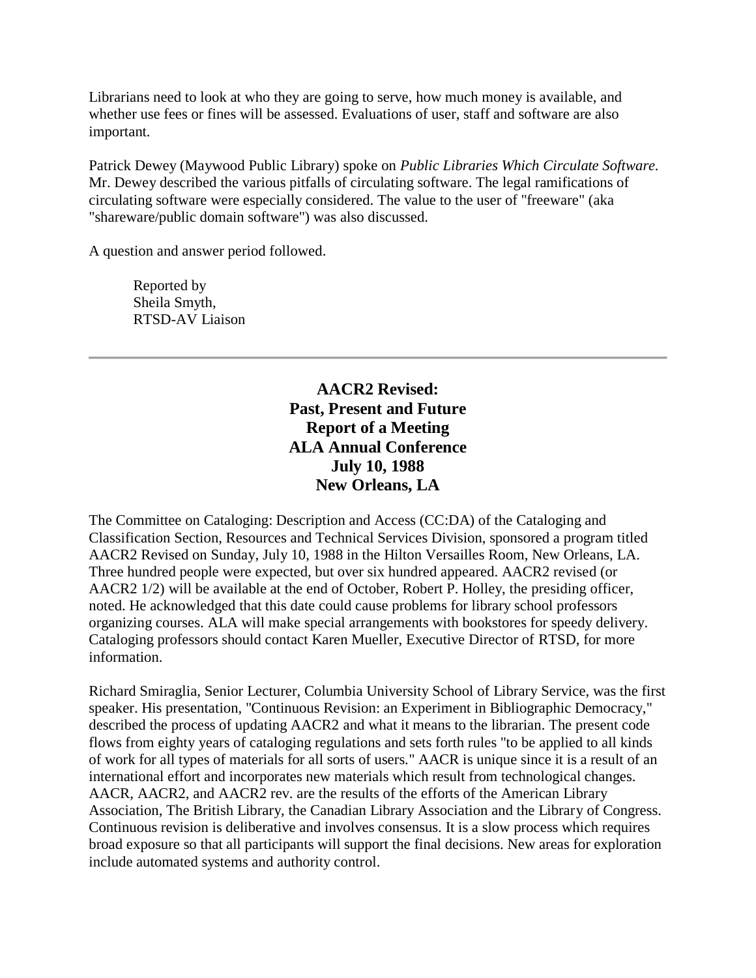Librarians need to look at who they are going to serve, how much money is available, and whether use fees or fines will be assessed. Evaluations of user, staff and software are also important.

Patrick Dewey (Maywood Public Library) spoke on *Public Libraries Which Circulate Software.* Mr. Dewey described the various pitfalls of circulating software. The legal ramifications of circulating software were especially considered. The value to the user of "freeware" (aka "shareware/public domain software") was also discussed.

A question and answer period followed.

Reported by Sheila Smyth, RTSD-AV Liaison

### **AACR2 Revised: Past, Present and Future Report of a Meeting ALA Annual Conference July 10, 1988 New Orleans, LA**

The Committee on Cataloging: Description and Access (CC:DA) of the Cataloging and Classification Section, Resources and Technical Services Division, sponsored a program titled AACR2 Revised on Sunday, July 10, 1988 in the Hilton Versailles Room, New Orleans, LA. Three hundred people were expected, but over six hundred appeared. AACR2 revised (or AACR2 1/2) will be available at the end of October, Robert P. Holley, the presiding officer, noted. He acknowledged that this date could cause problems for library school professors organizing courses. ALA will make special arrangements with bookstores for speedy delivery. Cataloging professors should contact Karen Mueller, Executive Director of RTSD, for more information.

Richard Smiraglia, Senior Lecturer, Columbia University School of Library Service, was the first speaker. His presentation, "Continuous Revision: an Experiment in Bibliographic Democracy," described the process of updating AACR2 and what it means to the librarian. The present code flows from eighty years of cataloging regulations and sets forth rules "to be applied to all kinds of work for all types of materials for all sorts of users." AACR is unique since it is a result of an international effort and incorporates new materials which result from technological changes. AACR, AACR2, and AACR2 rev. are the results of the efforts of the American Library Association, The British Library, the Canadian Library Association and the Library of Congress. Continuous revision is deliberative and involves consensus. It is a slow process which requires broad exposure so that all participants will support the final decisions. New areas for exploration include automated systems and authority control.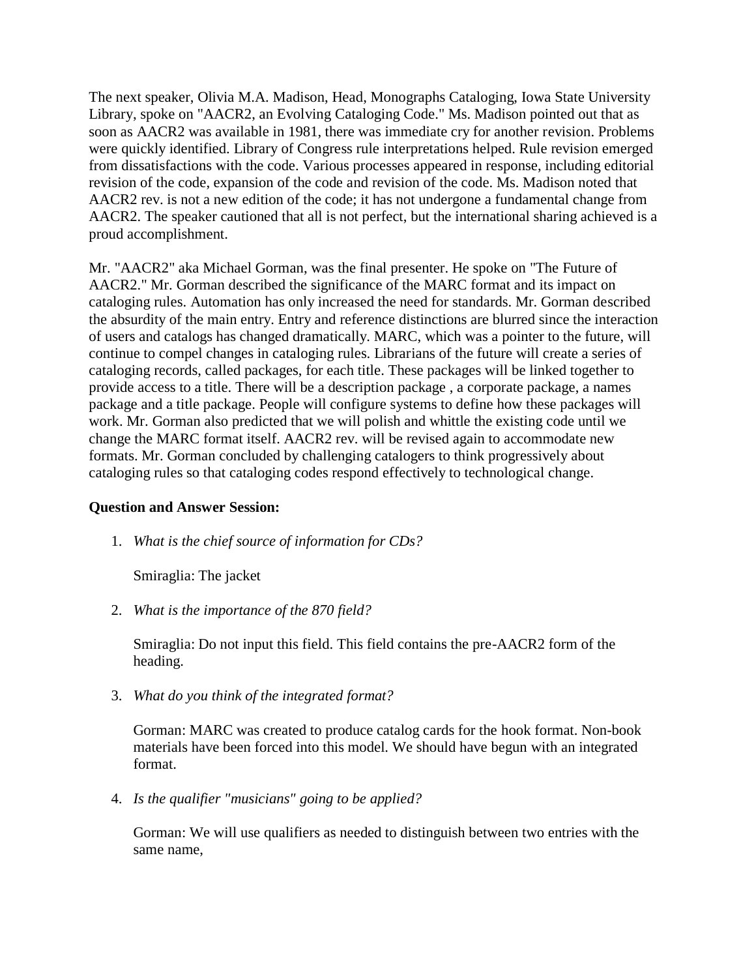The next speaker, Olivia M.A. Madison, Head, Monographs Cataloging, Iowa State University Library, spoke on "AACR2, an Evolving Cataloging Code." Ms. Madison pointed out that as soon as AACR2 was available in 1981, there was immediate cry for another revision. Problems were quickly identified. Library of Congress rule interpretations helped. Rule revision emerged from dissatisfactions with the code. Various processes appeared in response, including editorial revision of the code, expansion of the code and revision of the code. Ms. Madison noted that AACR2 rev. is not a new edition of the code; it has not undergone a fundamental change from AACR2. The speaker cautioned that all is not perfect, but the international sharing achieved is a proud accomplishment.

Mr. "AACR2" aka Michael Gorman, was the final presenter. He spoke on "The Future of AACR2." Mr. Gorman described the significance of the MARC format and its impact on cataloging rules. Automation has only increased the need for standards. Mr. Gorman described the absurdity of the main entry. Entry and reference distinctions are blurred since the interaction of users and catalogs has changed dramatically. MARC, which was a pointer to the future, will continue to compel changes in cataloging rules. Librarians of the future will create a series of cataloging records, called packages, for each title. These packages will be linked together to provide access to a title. There will be a description package , a corporate package, a names package and a title package. People will configure systems to define how these packages will work. Mr. Gorman also predicted that we will polish and whittle the existing code until we change the MARC format itself. AACR2 rev. will be revised again to accommodate new formats. Mr. Gorman concluded by challenging catalogers to think progressively about cataloging rules so that cataloging codes respond effectively to technological change.

#### **Question and Answer Session:**

1. *What is the chief source of information for CDs?*

Smiraglia: The jacket

2. *What is the importance of the 870 field?*

Smiraglia: Do not input this field. This field contains the pre-AACR2 form of the heading.

3. *What do you think of the integrated format?*

Gorman: MARC was created to produce catalog cards for the hook format. Non-book materials have been forced into this model. We should have begun with an integrated format.

4. *Is the qualifier "musicians" going to be applied?*

Gorman: We will use qualifiers as needed to distinguish between two entries with the same name,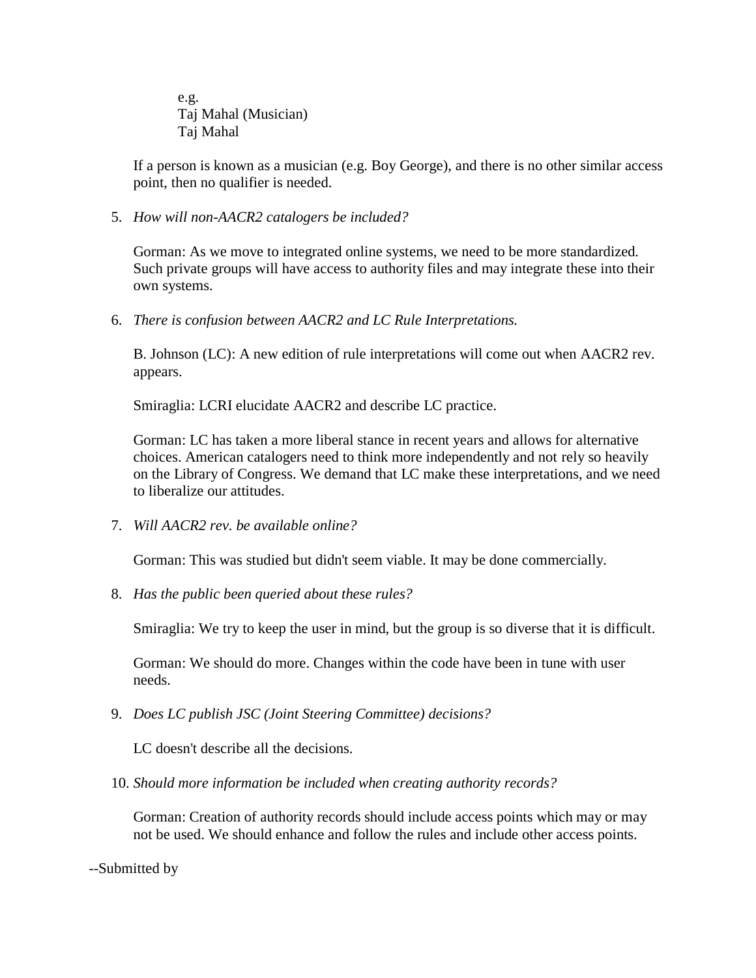e.g. Taj Mahal (Musician) Taj Mahal

If a person is known as a musician (e.g. Boy George), and there is no other similar access point, then no qualifier is needed.

5. *How will non-AACR2 catalogers be included?*

Gorman: As we move to integrated online systems, we need to be more standardized. Such private groups will have access to authority files and may integrate these into their own systems.

6. *There is confusion between AACR2 and LC Rule Interpretations.*

B. Johnson (LC): A new edition of rule interpretations will come out when AACR2 rev. appears.

Smiraglia: LCRI elucidate AACR2 and describe LC practice.

Gorman: LC has taken a more liberal stance in recent years and allows for alternative choices. American catalogers need to think more independently and not rely so heavily on the Library of Congress. We demand that LC make these interpretations, and we need to liberalize our attitudes.

7. *Will AACR2 rev. be available online?*

Gorman: This was studied but didn't seem viable. It may be done commercially.

8. *Has the public been queried about these rules?*

Smiraglia: We try to keep the user in mind, but the group is so diverse that it is difficult.

Gorman: We should do more. Changes within the code have been in tune with user needs.

9. *Does LC publish JSC (Joint Steering Committee) decisions?*

LC doesn't describe all the decisions.

10. *Should more information be included when creating authority records?* 

Gorman: Creation of authority records should include access points which may or may not be used. We should enhance and follow the rules and include other access points.

--Submitted by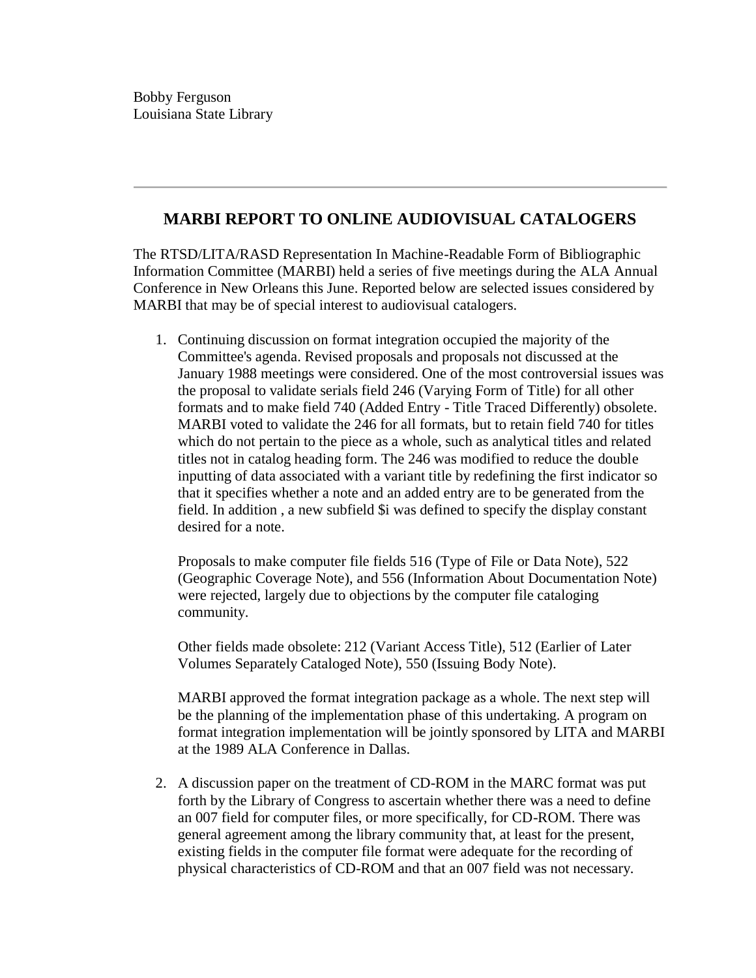### **MARBI REPORT TO ONLINE AUDIOVISUAL CATALOGERS**

The RTSD/LITA/RASD Representation In Machine-Readable Form of Bibliographic Information Committee (MARBI) held a series of five meetings during the ALA Annual Conference in New Orleans this June. Reported below are selected issues considered by MARBI that may be of special interest to audiovisual catalogers.

1. Continuing discussion on format integration occupied the majority of the Committee's agenda. Revised proposals and proposals not discussed at the January 1988 meetings were considered. One of the most controversial issues was the proposal to validate serials field 246 (Varying Form of Title) for all other formats and to make field 740 (Added Entry - Title Traced Differently) obsolete. MARBI voted to validate the 246 for all formats, but to retain field 740 for titles which do not pertain to the piece as a whole, such as analytical titles and related titles not in catalog heading form. The 246 was modified to reduce the double inputting of data associated with a variant title by redefining the first indicator so that it specifies whether a note and an added entry are to be generated from the field. In addition , a new subfield \$i was defined to specify the display constant desired for a note.

Proposals to make computer file fields 516 (Type of File or Data Note), 522 (Geographic Coverage Note), and 556 (Information About Documentation Note) were rejected, largely due to objections by the computer file cataloging community.

Other fields made obsolete: 212 (Variant Access Title), 512 (Earlier of Later Volumes Separately Cataloged Note), 550 (Issuing Body Note).

MARBI approved the format integration package as a whole. The next step will be the planning of the implementation phase of this undertaking. A program on format integration implementation will be jointly sponsored by LITA and MARBI at the 1989 ALA Conference in Dallas.

2. A discussion paper on the treatment of CD-ROM in the MARC format was put forth by the Library of Congress to ascertain whether there was a need to define an 007 field for computer files, or more specifically, for CD-ROM. There was general agreement among the library community that, at least for the present, existing fields in the computer file format were adequate for the recording of physical characteristics of CD-ROM and that an 007 field was not necessary.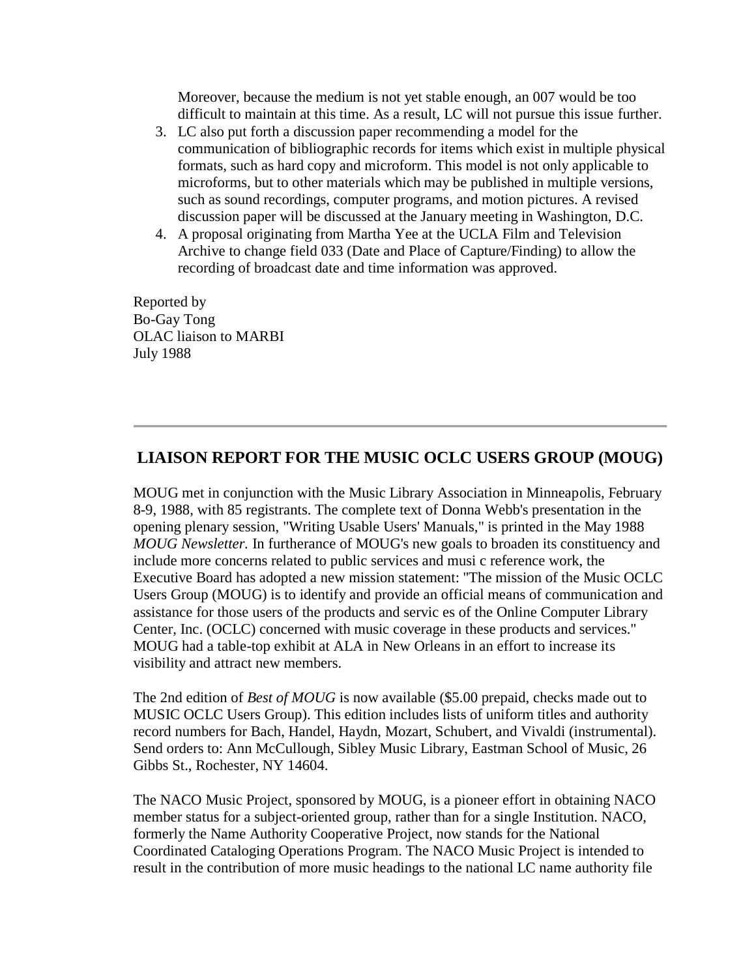Moreover, because the medium is not yet stable enough, an 007 would be too difficult to maintain at this time. As a result, LC will not pursue this issue further.

- 3. LC also put forth a discussion paper recommending a model for the communication of bibliographic records for items which exist in multiple physical formats, such as hard copy and microform. This model is not only applicable to microforms, but to other materials which may be published in multiple versions, such as sound recordings, computer programs, and motion pictures. A revised discussion paper will be discussed at the January meeting in Washington, D.C.
- 4. A proposal originating from Martha Yee at the UCLA Film and Television Archive to change field 033 (Date and Place of Capture/Finding) to allow the recording of broadcast date and time information was approved.

Reported by Bo-Gay Tong OLAC liaison to MARBI July 1988

### **LIAISON REPORT FOR THE MUSIC OCLC USERS GROUP (MOUG)**

MOUG met in conjunction with the Music Library Association in Minneapolis, February 8-9, 1988, with 85 registrants. The complete text of Donna Webb's presentation in the opening plenary session, "Writing Usable Users' Manuals," is printed in the May 1988 *MOUG Newsletter.* In furtherance of MOUG's new goals to broaden its constituency and include more concerns related to public services and musi c reference work, the Executive Board has adopted a new mission statement: "The mission of the Music OCLC Users Group (MOUG) is to identify and provide an official means of communication and assistance for those users of the products and servic es of the Online Computer Library Center, Inc. (OCLC) concerned with music coverage in these products and services." MOUG had a table-top exhibit at ALA in New Orleans in an effort to increase its visibility and attract new members.

The 2nd edition of *Best of MOUG* is now available (\$5.00 prepaid, checks made out to MUSIC OCLC Users Group). This edition includes lists of uniform titles and authority record numbers for Bach, Handel, Haydn, Mozart, Schubert, and Vivaldi (instrumental). Send orders to: Ann McCullough, Sibley Music Library, Eastman School of Music, 26 Gibbs St., Rochester, NY 14604.

The NACO Music Project, sponsored by MOUG, is a pioneer effort in obtaining NACO member status for a subject-oriented group, rather than for a single Institution. NACO, formerly the Name Authority Cooperative Project, now stands for the National Coordinated Cataloging Operations Program. The NACO Music Project is intended to result in the contribution of more music headings to the national LC name authority file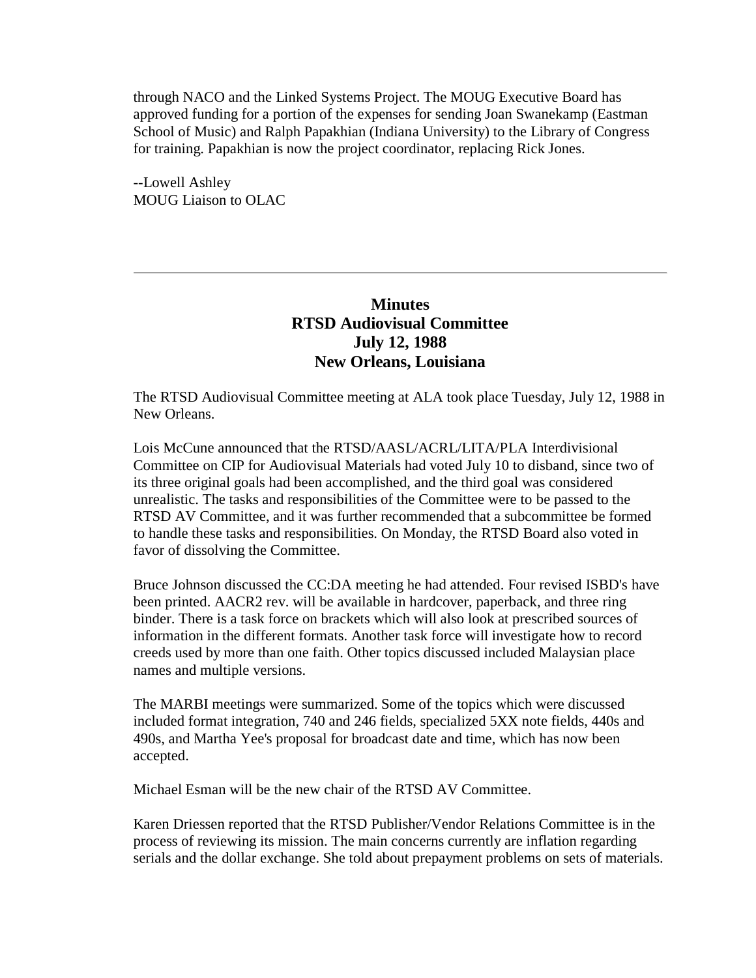through NACO and the Linked Systems Project. The MOUG Executive Board has approved funding for a portion of the expenses for sending Joan Swanekamp (Eastman School of Music) and Ralph Papakhian (Indiana University) to the Library of Congress for training. Papakhian is now the project coordinator, replacing Rick Jones.

--Lowell Ashley MOUG Liaison to OLAC

### **Minutes RTSD Audiovisual Committee July 12, 1988 New Orleans, Louisiana**

The RTSD Audiovisual Committee meeting at ALA took place Tuesday, July 12, 1988 in New Orleans.

Lois McCune announced that the RTSD/AASL/ACRL/LITA/PLA Interdivisional Committee on CIP for Audiovisual Materials had voted July 10 to disband, since two of its three original goals had been accomplished, and the third goal was considered unrealistic. The tasks and responsibilities of the Committee were to be passed to the RTSD AV Committee, and it was further recommended that a subcommittee be formed to handle these tasks and responsibilities. On Monday, the RTSD Board also voted in favor of dissolving the Committee.

Bruce Johnson discussed the CC:DA meeting he had attended. Four revised ISBD's have been printed. AACR2 rev. will be available in hardcover, paperback, and three ring binder. There is a task force on brackets which will also look at prescribed sources of information in the different formats. Another task force will investigate how to record creeds used by more than one faith. Other topics discussed included Malaysian place names and multiple versions.

The MARBI meetings were summarized. Some of the topics which were discussed included format integration, 740 and 246 fields, specialized 5XX note fields, 440s and 490s, and Martha Yee's proposal for broadcast date and time, which has now been accepted.

Michael Esman will be the new chair of the RTSD AV Committee.

Karen Driessen reported that the RTSD Publisher/Vendor Relations Committee is in the process of reviewing its mission. The main concerns currently are inflation regarding serials and the dollar exchange. She told about prepayment problems on sets of materials.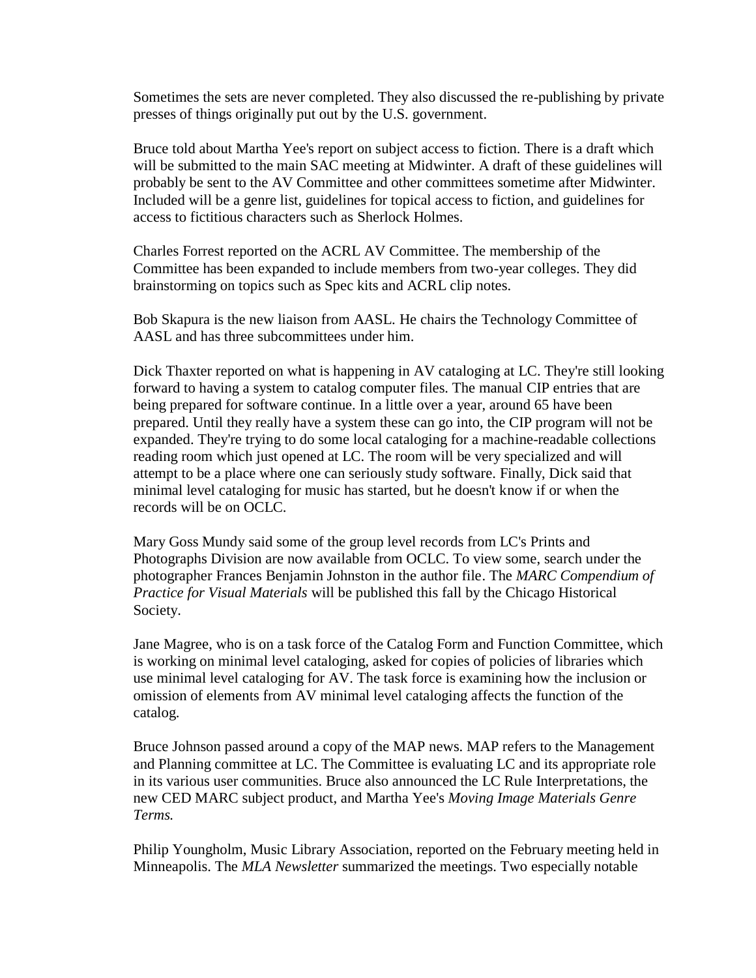Sometimes the sets are never completed. They also discussed the re-publishing by private presses of things originally put out by the U.S. government.

Bruce told about Martha Yee's report on subject access to fiction. There is a draft which will be submitted to the main SAC meeting at Midwinter. A draft of these guidelines will probably be sent to the AV Committee and other committees sometime after Midwinter. Included will be a genre list, guidelines for topical access to fiction, and guidelines for access to fictitious characters such as Sherlock Holmes.

Charles Forrest reported on the ACRL AV Committee. The membership of the Committee has been expanded to include members from two-year colleges. They did brainstorming on topics such as Spec kits and ACRL clip notes.

Bob Skapura is the new liaison from AASL. He chairs the Technology Committee of AASL and has three subcommittees under him.

Dick Thaxter reported on what is happening in AV cataloging at LC. They're still looking forward to having a system to catalog computer files. The manual CIP entries that are being prepared for software continue. In a little over a year, around 65 have been prepared. Until they really have a system these can go into, the CIP program will not be expanded. They're trying to do some local cataloging for a machine-readable collections reading room which just opened at LC. The room will be very specialized and will attempt to be a place where one can seriously study software. Finally, Dick said that minimal level cataloging for music has started, but he doesn't know if or when the records will be on OCLC.

Mary Goss Mundy said some of the group level records from LC's Prints and Photographs Division are now available from OCLC. To view some, search under the photographer Frances Benjamin Johnston in the author file. The *MARC Compendium of Practice for Visual Materials* will be published this fall by the Chicago Historical Society.

Jane Magree, who is on a task force of the Catalog Form and Function Committee, which is working on minimal level cataloging, asked for copies of policies of libraries which use minimal level cataloging for AV. The task force is examining how the inclusion or omission of elements from AV minimal level cataloging affects the function of the catalog.

Bruce Johnson passed around a copy of the MAP news. MAP refers to the Management and Planning committee at LC. The Committee is evaluating LC and its appropriate role in its various user communities. Bruce also announced the LC Rule Interpretations, the new CED MARC subject product, and Martha Yee's *Moving Image Materials Genre Terms.*

Philip Youngholm, Music Library Association, reported on the February meeting held in Minneapolis. The *MLA Newsletter* summarized the meetings. Two especially notable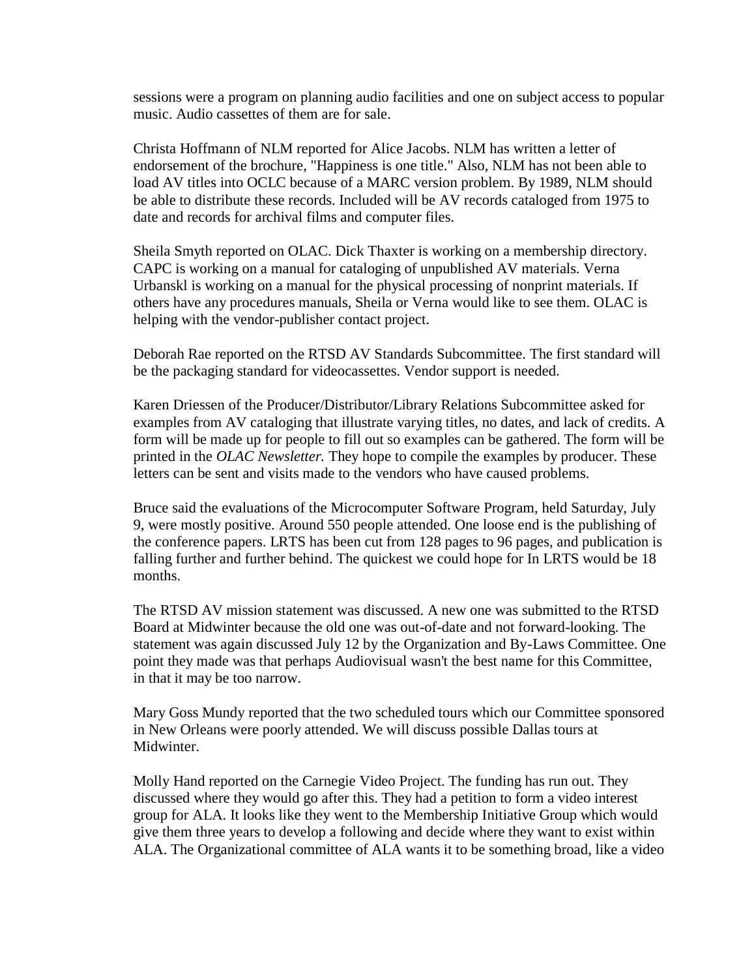sessions were a program on planning audio facilities and one on subject access to popular music. Audio cassettes of them are for sale.

Christa Hoffmann of NLM reported for Alice Jacobs. NLM has written a letter of endorsement of the brochure, "Happiness is one title." Also, NLM has not been able to load AV titles into OCLC because of a MARC version problem. By 1989, NLM should be able to distribute these records. Included will be AV records cataloged from 1975 to date and records for archival films and computer files.

Sheila Smyth reported on OLAC. Dick Thaxter is working on a membership directory. CAPC is working on a manual for cataloging of unpublished AV materials. Verna Urbanskl is working on a manual for the physical processing of nonprint materials. If others have any procedures manuals, Sheila or Verna would like to see them. OLAC is helping with the vendor-publisher contact project.

Deborah Rae reported on the RTSD AV Standards Subcommittee. The first standard will be the packaging standard for videocassettes. Vendor support is needed.

Karen Driessen of the Producer/Distributor/Library Relations Subcommittee asked for examples from AV cataloging that illustrate varying titles, no dates, and lack of credits. A form will be made up for people to fill out so examples can be gathered. The form will be printed in the *OLAC Newsletter.* They hope to compile the examples by producer. These letters can be sent and visits made to the vendors who have caused problems.

Bruce said the evaluations of the Microcomputer Software Program, held Saturday, July 9, were mostly positive. Around 550 people attended. One loose end is the publishing of the conference papers. LRTS has been cut from 128 pages to 96 pages, and publication is falling further and further behind. The quickest we could hope for In LRTS would be 18 months.

The RTSD AV mission statement was discussed. A new one was submitted to the RTSD Board at Midwinter because the old one was out-of-date and not forward-looking. The statement was again discussed July 12 by the Organization and By-Laws Committee. One point they made was that perhaps Audiovisual wasn't the best name for this Committee, in that it may be too narrow.

Mary Goss Mundy reported that the two scheduled tours which our Committee sponsored in New Orleans were poorly attended. We will discuss possible Dallas tours at Midwinter.

Molly Hand reported on the Carnegie Video Project. The funding has run out. They discussed where they would go after this. They had a petition to form a video interest group for ALA. It looks like they went to the Membership Initiative Group which would give them three years to develop a following and decide where they want to exist within ALA. The Organizational committee of ALA wants it to be something broad, like a video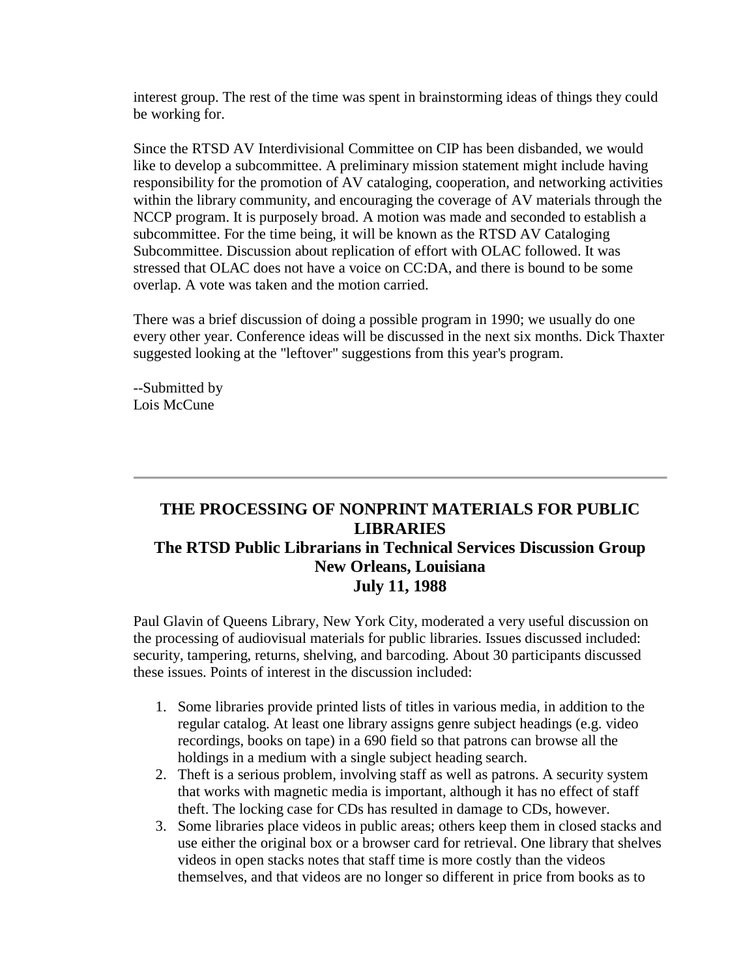interest group. The rest of the time was spent in brainstorming ideas of things they could be working for.

Since the RTSD AV Interdivisional Committee on CIP has been disbanded, we would like to develop a subcommittee. A preliminary mission statement might include having responsibility for the promotion of AV cataloging, cooperation, and networking activities within the library community, and encouraging the coverage of AV materials through the NCCP program. It is purposely broad. A motion was made and seconded to establish a subcommittee. For the time being, it will be known as the RTSD AV Cataloging Subcommittee. Discussion about replication of effort with OLAC followed. It was stressed that OLAC does not have a voice on CC:DA, and there is bound to be some overlap. A vote was taken and the motion carried.

There was a brief discussion of doing a possible program in 1990; we usually do one every other year. Conference ideas will be discussed in the next six months. Dick Thaxter suggested looking at the "leftover" suggestions from this year's program.

--Submitted by Lois McCune

## **THE PROCESSING OF NONPRINT MATERIALS FOR PUBLIC LIBRARIES The RTSD Public Librarians in Technical Services Discussion Group New Orleans, Louisiana July 11, 1988**

Paul Glavin of Queens Library, New York City, moderated a very useful discussion on the processing of audiovisual materials for public libraries. Issues discussed included: security, tampering, returns, shelving, and barcoding. About 30 participants discussed these issues. Points of interest in the discussion included:

- 1. Some libraries provide printed lists of titles in various media, in addition to the regular catalog. At least one library assigns genre subject headings (e.g. video recordings, books on tape) in a 690 field so that patrons can browse all the holdings in a medium with a single subject heading search.
- 2. Theft is a serious problem, involving staff as well as patrons. A security system that works with magnetic media is important, although it has no effect of staff theft. The locking case for CDs has resulted in damage to CDs, however.
- 3. Some libraries place videos in public areas; others keep them in closed stacks and use either the original box or a browser card for retrieval. One library that shelves videos in open stacks notes that staff time is more costly than the videos themselves, and that videos are no longer so different in price from books as to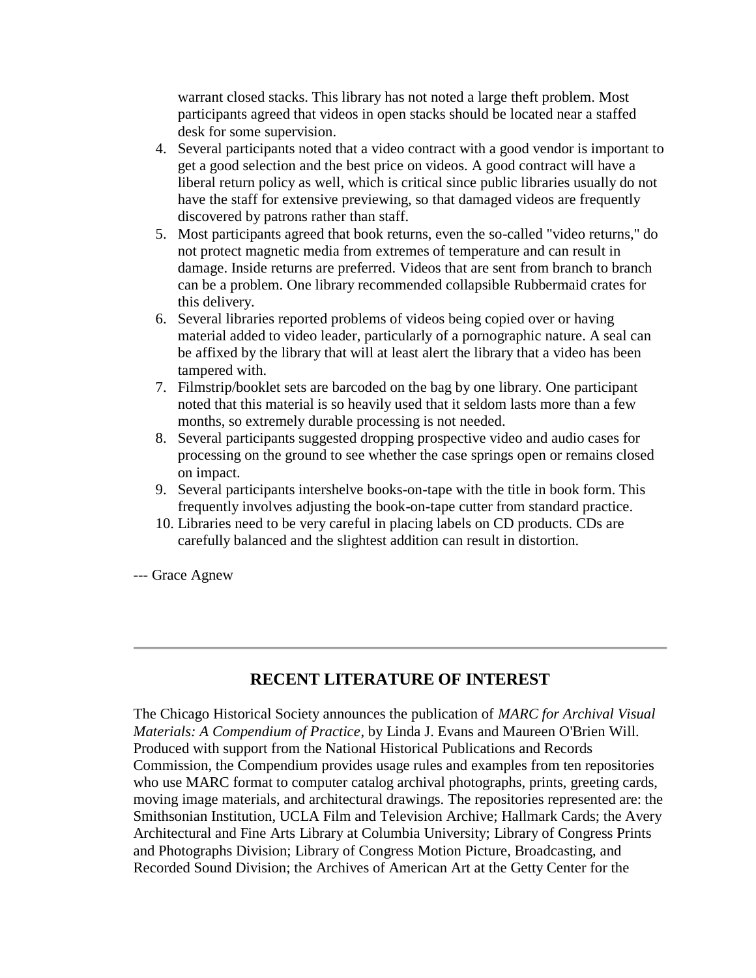warrant closed stacks. This library has not noted a large theft problem. Most participants agreed that videos in open stacks should be located near a staffed desk for some supervision.

- 4. Several participants noted that a video contract with a good vendor is important to get a good selection and the best price on videos. A good contract will have a liberal return policy as well, which is critical since public libraries usually do not have the staff for extensive previewing, so that damaged videos are frequently discovered by patrons rather than staff.
- 5. Most participants agreed that book returns, even the so-called "video returns," do not protect magnetic media from extremes of temperature and can result in damage. Inside returns are preferred. Videos that are sent from branch to branch can be a problem. One library recommended collapsible Rubbermaid crates for this delivery.
- 6. Several libraries reported problems of videos being copied over or having material added to video leader, particularly of a pornographic nature. A seal can be affixed by the library that will at least alert the library that a video has been tampered with.
- 7. Filmstrip/booklet sets are barcoded on the bag by one library. One participant noted that this material is so heavily used that it seldom lasts more than a few months, so extremely durable processing is not needed.
- 8. Several participants suggested dropping prospective video and audio cases for processing on the ground to see whether the case springs open or remains closed on impact.
- 9. Several participants intershelve books-on-tape with the title in book form. This frequently involves adjusting the book-on-tape cutter from standard practice.
- 10. Libraries need to be very careful in placing labels on CD products. CDs are carefully balanced and the slightest addition can result in distortion.

--- Grace Agnew

### **RECENT LITERATURE OF INTEREST**

The Chicago Historical Society announces the publication of *MARC for Archival Visual Materials: A Compendium of Practice*, by Linda J. Evans and Maureen O'Brien Will. Produced with support from the National Historical Publications and Records Commission, the Compendium provides usage rules and examples from ten repositories who use MARC format to computer catalog archival photographs, prints, greeting cards, moving image materials, and architectural drawings. The repositories represented are: the Smithsonian Institution, UCLA Film and Television Archive; Hallmark Cards; the Avery Architectural and Fine Arts Library at Columbia University; Library of Congress Prints and Photographs Division; Library of Congress Motion Picture, Broadcasting, and Recorded Sound Division; the Archives of American Art at the Getty Center for the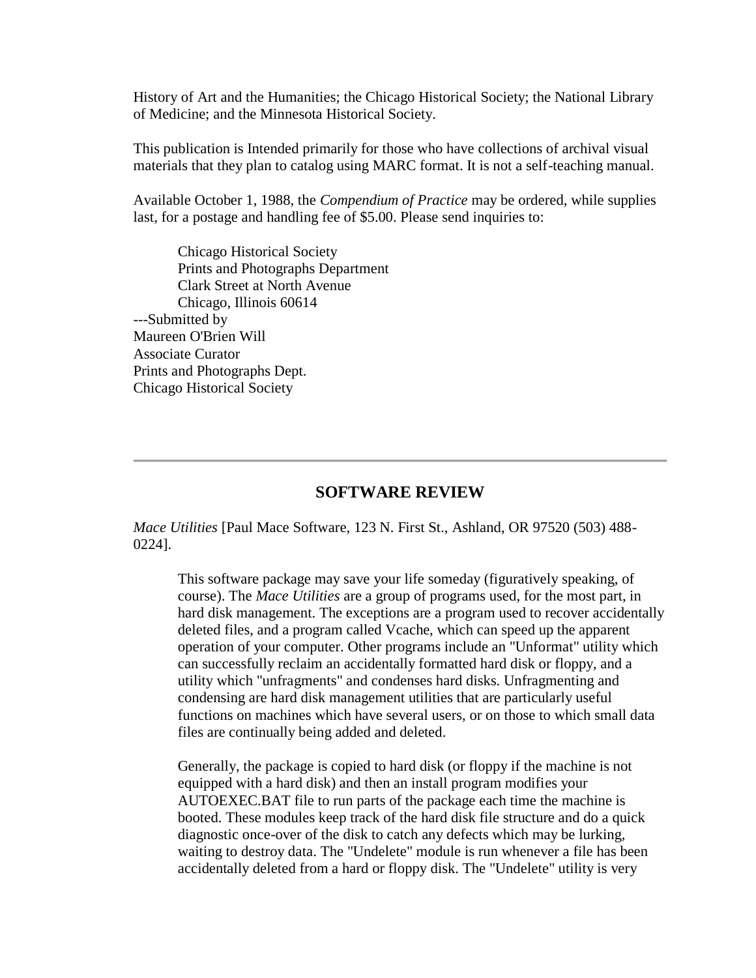History of Art and the Humanities; the Chicago Historical Society; the National Library of Medicine; and the Minnesota Historical Society.

This publication is Intended primarily for those who have collections of archival visual materials that they plan to catalog using MARC format. It is not a self-teaching manual.

Available October 1, 1988, the *Compendium of Practice* may be ordered, while supplies last, for a postage and handling fee of \$5.00. Please send inquiries to:

Chicago Historical Society Prints and Photographs Department Clark Street at North Avenue Chicago, Illinois 60614 ---Submitted by Maureen O'Brien Will Associate Curator Prints and Photographs Dept. Chicago Historical Society

### **SOFTWARE REVIEW**

*Mace Utilities* [Paul Mace Software, 123 N. First St., Ashland, OR 97520 (503) 488- 0224].

This software package may save your life someday (figuratively speaking, of course). The *Mace Utilities* are a group of programs used, for the most part, in hard disk management. The exceptions are a program used to recover accidentally deleted files, and a program called Vcache, which can speed up the apparent operation of your computer. Other programs include an "Unformat" utility which can successfully reclaim an accidentally formatted hard disk or floppy, and a utility which "unfragments" and condenses hard disks. Unfragmenting and condensing are hard disk management utilities that are particularly useful functions on machines which have several users, or on those to which small data files are continually being added and deleted.

Generally, the package is copied to hard disk (or floppy if the machine is not equipped with a hard disk) and then an install program modifies your AUTOEXEC.BAT file to run parts of the package each time the machine is booted. These modules keep track of the hard disk file structure and do a quick diagnostic once-over of the disk to catch any defects which may be lurking, waiting to destroy data. The "Undelete" module is run whenever a file has been accidentally deleted from a hard or floppy disk. The "Undelete" utility is very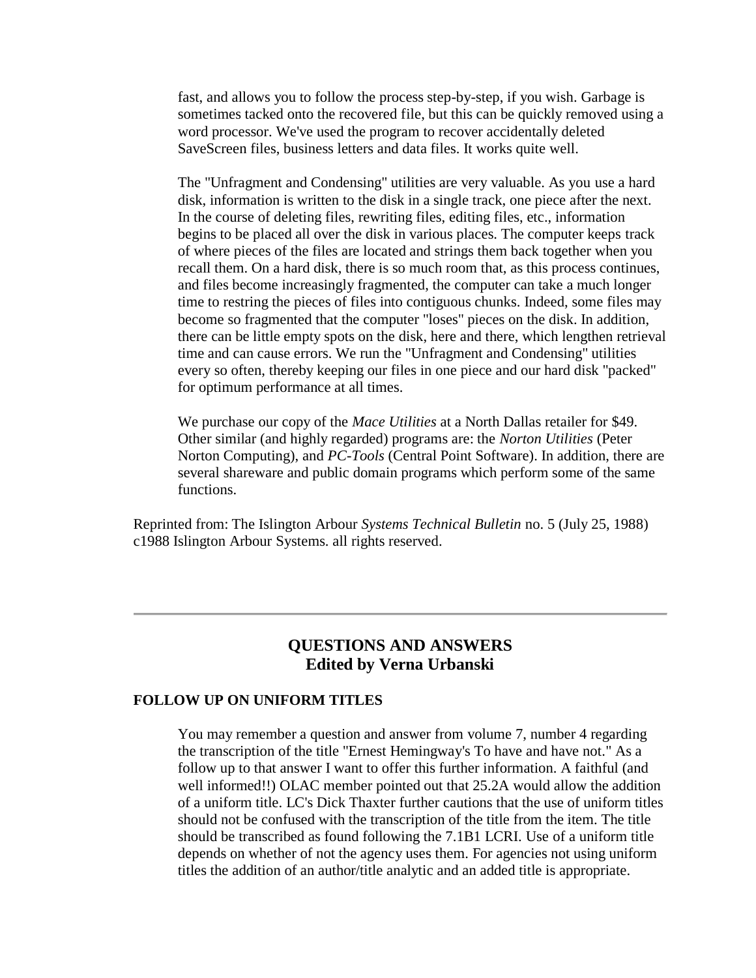fast, and allows you to follow the process step-by-step, if you wish. Garbage is sometimes tacked onto the recovered file, but this can be quickly removed using a word processor. We've used the program to recover accidentally deleted SaveScreen files, business letters and data files. It works quite well.

The "Unfragment and Condensing" utilities are very valuable. As you use a hard disk, information is written to the disk in a single track, one piece after the next. In the course of deleting files, rewriting files, editing files, etc., information begins to be placed all over the disk in various places. The computer keeps track of where pieces of the files are located and strings them back together when you recall them. On a hard disk, there is so much room that, as this process continues, and files become increasingly fragmented, the computer can take a much longer time to restring the pieces of files into contiguous chunks. Indeed, some files may become so fragmented that the computer "loses" pieces on the disk. In addition, there can be little empty spots on the disk, here and there, which lengthen retrieval time and can cause errors. We run the "Unfragment and Condensing" utilities every so often, thereby keeping our files in one piece and our hard disk "packed" for optimum performance at all times.

We purchase our copy of the *Mace Utilities* at a North Dallas retailer for \$49. Other similar (and highly regarded) programs are: the *Norton Utilities* (Peter Norton Computing), and *PC-Tools* (Central Point Software). In addition, there are several shareware and public domain programs which perform some of the same functions.

Reprinted from: The Islington Arbour *Systems Technical Bulletin* no. 5 (July 25, 1988) c1988 Islington Arbour Systems. all rights reserved.

### **QUESTIONS AND ANSWERS Edited by Verna Urbanski**

#### **FOLLOW UP ON UNIFORM TITLES**

You may remember a question and answer from [volume 7, number 4](http://ublib.buffalo.edu/libraries/units/cts/olac/newsletters/dec87.html#hemingway) regarding the transcription of the title "Ernest Hemingway's To have and have not." As a follow up to that answer I want to offer this further information. A faithful (and well informed!!) OLAC member pointed out that 25.2A would allow the addition of a uniform title. LC's Dick Thaxter further cautions that the use of uniform titles should not be confused with the transcription of the title from the item. The title should be transcribed as found following the 7.1B1 LCRI. Use of a uniform title depends on whether of not the agency uses them. For agencies not using uniform titles the addition of an author/title analytic and an added title is appropriate.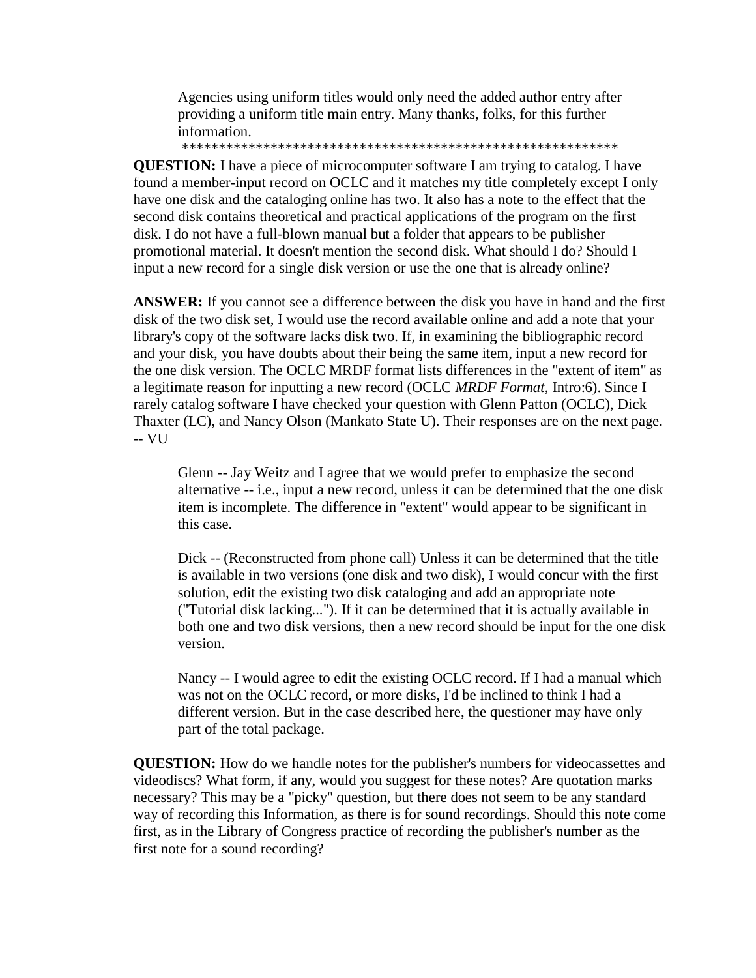Agencies using uniform titles would only need the added author entry after providing a uniform title main entry. Many thanks, folks, for this further information.

\*\*\*\*\*\*\*\*\*\*\*\*\*\*\*\*\*\*\*\*\*\*\*\*\*\*\*\*\*\*\*\*\*\*\*\*\*\*\*\*\*\*\*\*\*\*\*\*\*\*\*\*\*\*\*\*\*\*\*

**QUESTION:** I have a piece of microcomputer software I am trying to catalog. I have found a member-input record on OCLC and it matches my title completely except I only have one disk and the cataloging online has two. It also has a note to the effect that the second disk contains theoretical and practical applications of the program on the first disk. I do not have a full-blown manual but a folder that appears to be publisher promotional material. It doesn't mention the second disk. What should I do? Should I input a new record for a single disk version or use the one that is already online?

**ANSWER:** If you cannot see a difference between the disk you have in hand and the first disk of the two disk set, I would use the record available online and add a note that your library's copy of the software lacks disk two. If, in examining the bibliographic record and your disk, you have doubts about their being the same item, input a new record for the one disk version. The OCLC MRDF format lists differences in the "extent of item" as a legitimate reason for inputting a new record (OCLC *MRDF Format*, Intro:6). Since I rarely catalog software I have checked your question with Glenn Patton (OCLC), Dick Thaxter (LC), and Nancy Olson (Mankato State U). Their responses are on the next page. -- VU

Glenn -- Jay Weitz and I agree that we would prefer to emphasize the second alternative -- i.e., input a new record, unless it can be determined that the one disk item is incomplete. The difference in "extent" would appear to be significant in this case.

Dick -- (Reconstructed from phone call) Unless it can be determined that the title is available in two versions (one disk and two disk), I would concur with the first solution, edit the existing two disk cataloging and add an appropriate note ("Tutorial disk lacking..."). If it can be determined that it is actually available in both one and two disk versions, then a new record should be input for the one disk version.

Nancy -- I would agree to edit the existing OCLC record. If I had a manual which was not on the OCLC record, or more disks, I'd be inclined to think I had a different version. But in the case described here, the questioner may have only part of the total package.

**QUESTION:** How do we handle notes for the publisher's numbers for videocassettes and videodiscs? What form, if any, would you suggest for these notes? Are quotation marks necessary? This may be a "picky" question, but there does not seem to be any standard way of recording this Information, as there is for sound recordings. Should this note come first, as in the Library of Congress practice of recording the publisher's number as the first note for a sound recording?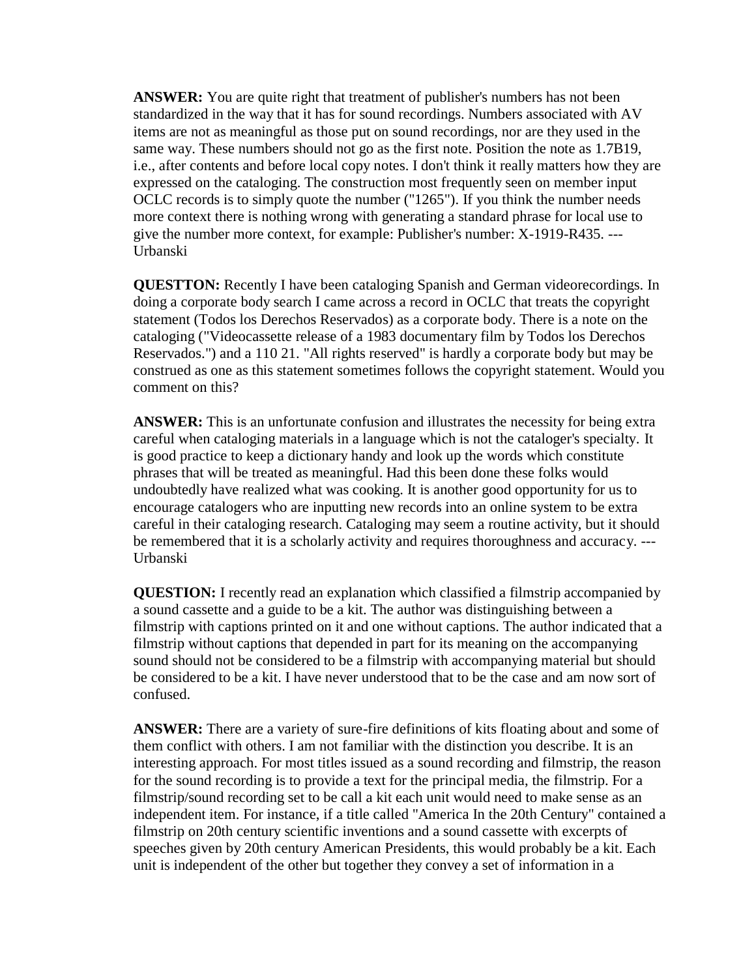**ANSWER:** You are quite right that treatment of publisher's numbers has not been standardized in the way that it has for sound recordings. Numbers associated with AV items are not as meaningful as those put on sound recordings, nor are they used in the same way. These numbers should not go as the first note. Position the note as 1.7B19, i.e., after contents and before local copy notes. I don't think it really matters how they are expressed on the cataloging. The construction most frequently seen on member input OCLC records is to simply quote the number ("1265"). If you think the number needs more context there is nothing wrong with generating a standard phrase for local use to give the number more context, for example: Publisher's number: X-1919-R435. --- Urbanski

**QUESTTON:** Recently I have been cataloging Spanish and German videorecordings. In doing a corporate body search I came across a record in OCLC that treats the copyright statement (Todos los Derechos Reservados) as a corporate body. There is a note on the cataloging ("Videocassette release of a 1983 documentary film by Todos los Derechos Reservados.") and a 110 21. "All rights reserved" is hardly a corporate body but may be construed as one as this statement sometimes follows the copyright statement. Would you comment on this?

**ANSWER:** This is an unfortunate confusion and illustrates the necessity for being extra careful when cataloging materials in a language which is not the cataloger's specialty. It is good practice to keep a dictionary handy and look up the words which constitute phrases that will be treated as meaningful. Had this been done these folks would undoubtedly have realized what was cooking. It is another good opportunity for us to encourage catalogers who are inputting new records into an online system to be extra careful in their cataloging research. Cataloging may seem a routine activity, but it should be remembered that it is a scholarly activity and requires thoroughness and accuracy. --- Urbanski

**QUESTION:** I recently read an explanation which classified a filmstrip accompanied by a sound cassette and a guide to be a kit. The author was distinguishing between a filmstrip with captions printed on it and one without captions. The author indicated that a filmstrip without captions that depended in part for its meaning on the accompanying sound should not be considered to be a filmstrip with accompanying material but should be considered to be a kit. I have never understood that to be the case and am now sort of confused.

**ANSWER:** There are a variety of sure-fire definitions of kits floating about and some of them conflict with others. I am not familiar with the distinction you describe. It is an interesting approach. For most titles issued as a sound recording and filmstrip, the reason for the sound recording is to provide a text for the principal media, the filmstrip. For a filmstrip/sound recording set to be call a kit each unit would need to make sense as an independent item. For instance, if a title called "America In the 20th Century" contained a filmstrip on 20th century scientific inventions and a sound cassette with excerpts of speeches given by 20th century American Presidents, this would probably be a kit. Each unit is independent of the other but together they convey a set of information in a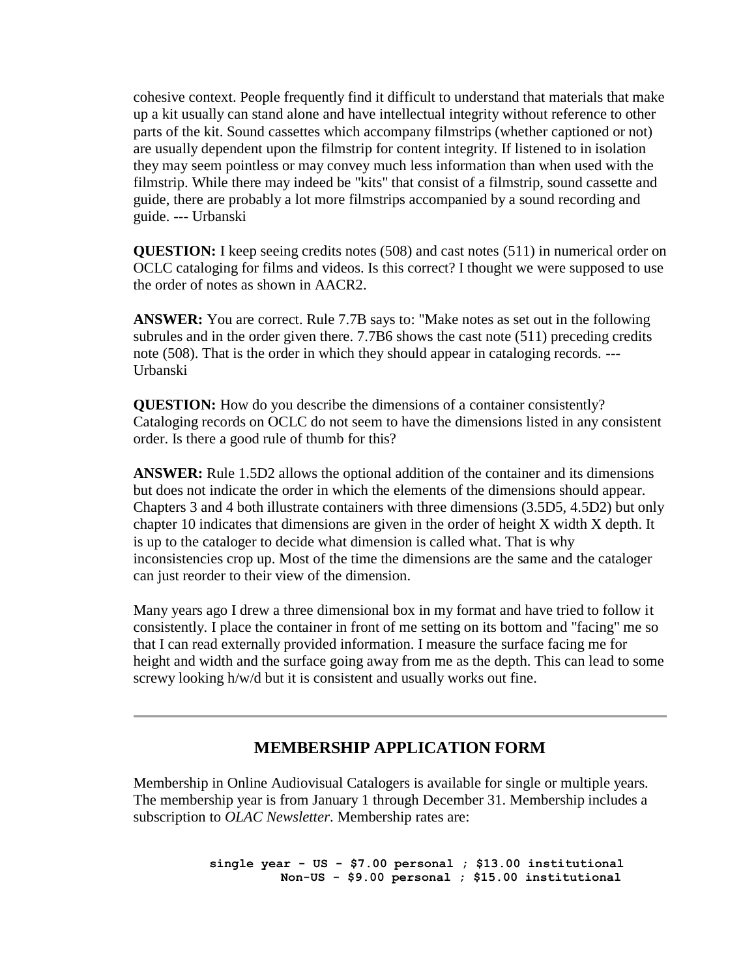cohesive context. People frequently find it difficult to understand that materials that make up a kit usually can stand alone and have intellectual integrity without reference to other parts of the kit. Sound cassettes which accompany filmstrips (whether captioned or not) are usually dependent upon the filmstrip for content integrity. If listened to in isolation they may seem pointless or may convey much less information than when used with the filmstrip. While there may indeed be "kits" that consist of a filmstrip, sound cassette and guide, there are probably a lot more filmstrips accompanied by a sound recording and guide. --- Urbanski

**QUESTION:** I keep seeing credits notes (508) and cast notes (511) in numerical order on OCLC cataloging for films and videos. Is this correct? I thought we were supposed to use the order of notes as shown in AACR2.

**ANSWER:** You are correct. Rule 7.7B says to: "Make notes as set out in the following subrules and in the order given there. 7.7B6 shows the cast note (511) preceding credits note (508). That is the order in which they should appear in cataloging records. --- Urbanski

**QUESTION:** How do you describe the dimensions of a container consistently? Cataloging records on OCLC do not seem to have the dimensions listed in any consistent order. Is there a good rule of thumb for this?

**ANSWER:** Rule 1.5D2 allows the optional addition of the container and its dimensions but does not indicate the order in which the elements of the dimensions should appear. Chapters 3 and 4 both illustrate containers with three dimensions (3.5D5, 4.5D2) but only chapter 10 indicates that dimensions are given in the order of height X width X depth. It is up to the cataloger to decide what dimension is called what. That is why inconsistencies crop up. Most of the time the dimensions are the same and the cataloger can just reorder to their view of the dimension.

Many years ago I drew a three dimensional box in my format and have tried to follow it consistently. I place the container in front of me setting on its bottom and "facing" me so that I can read externally provided information. I measure the surface facing me for height and width and the surface going away from me as the depth. This can lead to some screwy looking h/w/d but it is consistent and usually works out fine.

### **MEMBERSHIP APPLICATION FORM**

Membership in Online Audiovisual Catalogers is available for single or multiple years. The membership year is from January 1 through December 31. Membership includes a subscription to *OLAC Newsletter*. Membership rates are:

> **single year - US - \$7.00 personal ; \$13.00 institutional Non-US - \$9.00 personal ; \$15.00 institutional**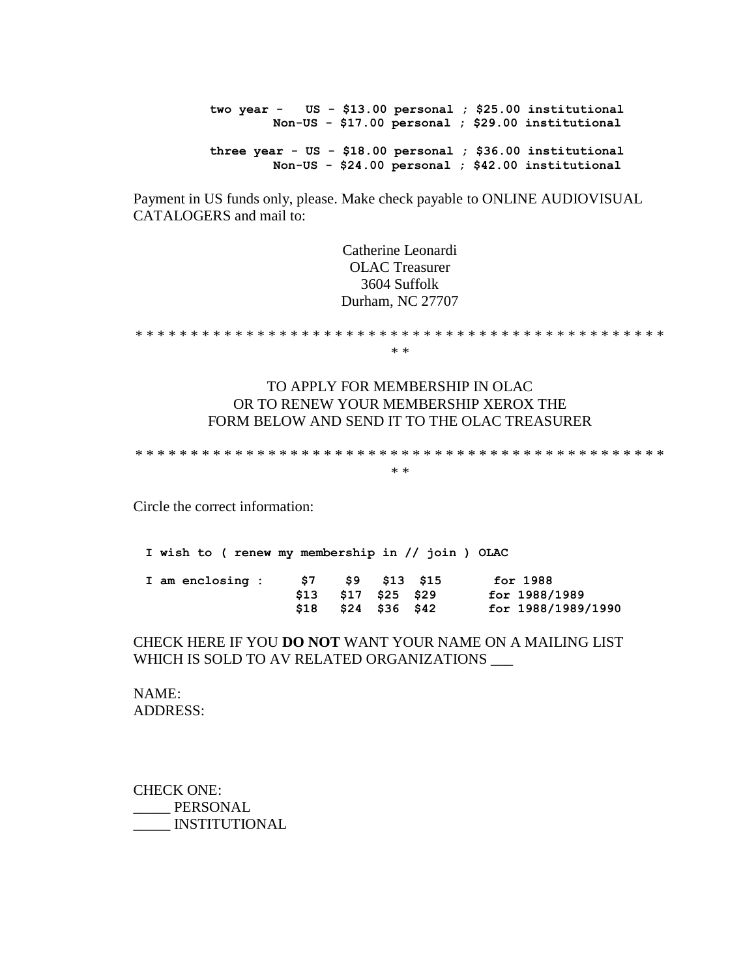**two year - US - \$13.00 personal ; \$25.00 institutional Non-US - \$17.00 personal ; \$29.00 institutional three year - US - \$18.00 personal ; \$36.00 institutional Non-US - \$24.00 personal ; \$42.00 institutional** 

Payment in US funds only, please. Make check payable to ONLINE AUDIOVISUAL CATALOGERS and mail to:

> Catherine Leonardi OLAC Treasurer 3604 Suffolk Durham, NC 27707

\* \* \* \* \* \* \* \* \* \* \* \* \* \* \* \* \* \* \* \* \* \* \* \* \* \* \* \* \* \* \* \* \* \* \* \* \* \* \* \* \* \* \* \* \* \* \* \* \* \*

#### TO APPLY FOR MEMBERSHIP IN OLAC OR TO RENEW YOUR MEMBERSHIP XEROX THE FORM BELOW AND SEND IT TO THE OLAC TREASURER

\* \* \* \* \* \* \* \* \* \* \* \* \* \* \* \* \* \* \* \* \* \* \* \* \* \* \* \* \* \* \* \* \* \* \* \* \* \* \* \* \* \* \* \* \* \* \* \* \* \*

Circle the correct information:

**I wish to ( renew my membership in // join ) OLAC I am enclosing : \$7 \$9 \$13 \$15 for 1988 \$13 \$17 \$25 \$29 for 1988/1989 \$18 \$24 \$36 \$42 for 1988/1989/1990**

#### CHECK HERE IF YOU **DO NOT** WANT YOUR NAME ON A MAILING LIST WHICH IS SOLD TO AV RELATED ORGANIZATIONS

NAME: ADDRESS:

CHECK ONE: PERSONAL \_\_\_\_\_ INSTITUTIONAL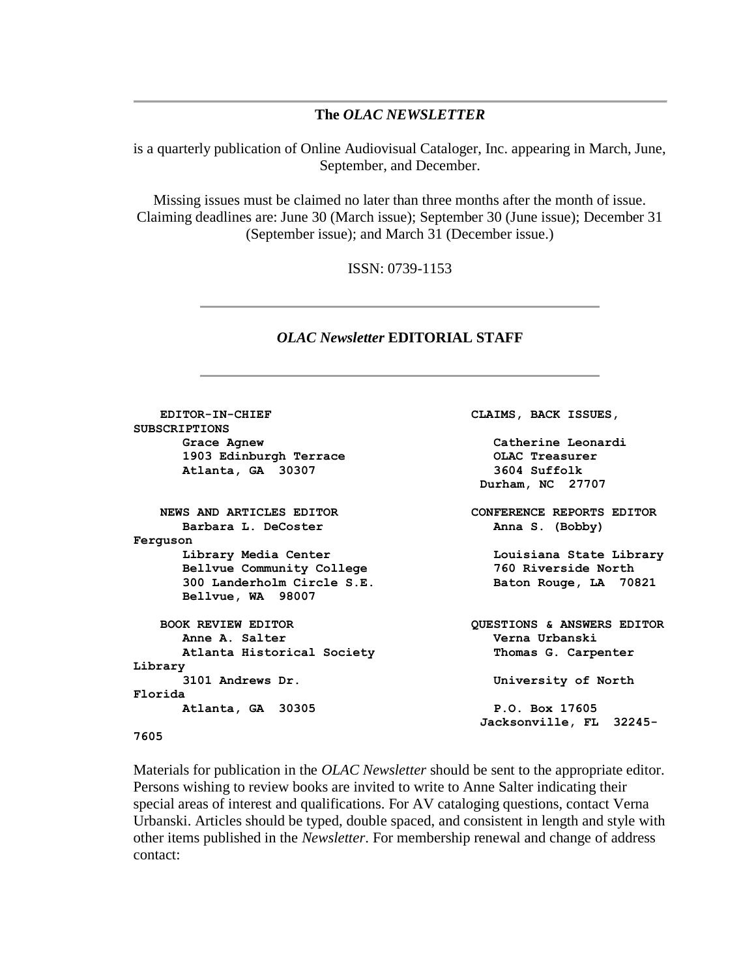#### **The** *OLAC NEWSLETTER*

is a quarterly publication of Online Audiovisual Cataloger, Inc. appearing in March, June, September, and December.

Missing issues must be claimed no later than three months after the month of issue. Claiming deadlines are: June 30 (March issue); September 30 (June issue); December 31 (September issue); and March 31 (December issue.)

ISSN: 0739-1153

#### *OLAC Newsletter* **EDITORIAL STAFF**

 **EDITOR-IN-CHIEF CLAIMS, BACK ISSUES, SUBSCRIPTIONS Grace Agnew Catherine Leonardi 1903 Edinburgh Terrace OLAC Treasurer Atlanta, GA 30307 3604 Suffolk Durham, NC 27707 NEWS AND ARTICLES EDITOR CONFERENCE REPORTS EDITOR Barbara L. DeCoster C. (Bobby) Anna S. (Bobby) Ferguson Library Media Center Louisiana State Library Bellvue Community College 760 Riverside North 300 Landerholm Circle S.E. Baton Rouge, LA 70821 Bellvue, WA 98007 BOOK REVIEW EDITOR QUESTIONS & ANSWERS EDITOR Anne A. Salter Verna Urbanski Atlanta Historical Society Thomas G. Carpenter Library 3101 Andrews Dr. University of North Florida Atlanta, GA 30305 P.O. Box 17605 Jacksonville, FL 32245- 7605**

Materials for publication in the *OLAC Newsletter* should be sent to the appropriate editor. Persons wishing to review books are invited to write to Anne Salter indicating their special areas of interest and qualifications. For AV cataloging questions, contact Verna Urbanski. Articles should be typed, double spaced, and consistent in length and style with other items published in the *Newsletter*. For membership renewal and change of address contact: